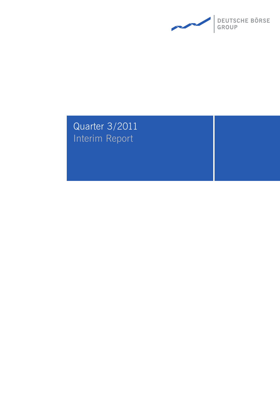

# Quarter 3/2011 Interim Report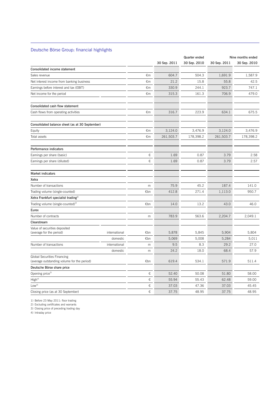## Deutsche Börse Group: financial highlights

 $\overline{a}$ 

|                                                  |               |     | Quarter ended |              |              | Nine months ended |
|--------------------------------------------------|---------------|-----|---------------|--------------|--------------|-------------------|
|                                                  |               |     | 30 Sep. 2011  | 30 Sep. 2010 | 30 Sep. 2011 | 30 Sep. 2010      |
| Consolidated income statement                    |               |     |               |              |              |                   |
| Sales revenue                                    |               | €m  | 604.7         | 504.3        | 1,691.9      | 1,587.9           |
| Net interest income from banking business        |               | €m  | 21.2          | 15.8         | 55.8         | 42.5              |
| Earnings before interest and tax (EBIT)          |               | €m  | 330.9         | 244.1        | 923.7        | 747.1             |
| Net income for the period                        |               | €m  | 315.3         | 161.3        | 706.9        | 479.0             |
| Consolidated cash flow statement                 |               |     |               |              |              |                   |
| Cash flows from operating activities             |               | €m  | 316.7         | 223.9        | 634.1        | 675.5             |
| Consolidated balance sheet (as at 30 September)  |               |     |               |              |              |                   |
| Equity                                           |               | €m  | 3,124.0       | 3,476.9      | 3,124.0      | 3,476.9           |
| Total assets                                     |               | €m  | 261,503.7     | 178,398.2    | 261,503.7    | 178,398.2         |
| Performance indicators                           |               |     |               |              |              |                   |
| Earnings per share (basic)                       |               | €   | 1.69          | 0.87         | 3.79         | 2.58              |
| Earnings per share (diluted)                     |               | €   | 1.69          | 0.87         | 3.79         | 2.57              |
| <b>Market indicators</b>                         |               |     |               |              |              |                   |
| Xetra                                            |               |     |               |              |              |                   |
| Number of transactions                           |               | m   | 75.9          | 45.2         | 187.4        | 141.0             |
| Trading volume (single-counted)                  |               | €bn | 412.8         | 271.4        | 1,113.0      | 950.7             |
| Xetra Frankfurt specialist trading <sup>1)</sup> |               |     |               |              |              |                   |
| Trading volume (single-counted) <sup>2)</sup>    |               | €bn | 14.0          | 13.2         | 43.0         | 46.0              |
| Eurex                                            |               |     |               |              |              |                   |
| Number of contracts                              |               | m   | 783.9         | 563.6        | 2,204.7      | 2,049.1           |
| Clearstream                                      |               |     |               |              |              |                   |
| Value of securities deposited                    |               |     |               |              |              |                   |
| (average for the period)                         | international | €bn | 5,878         | 5,845        | 5,904        | 5,804             |
|                                                  | domestic      | €bn | 5,069         | 5,008        | 5,284        | 5,011             |
| Number of transactions                           | international | m   | 9.5<br>24.2   | 8.3          | 29.2<br>68.4 | 27.0<br>57.9      |
| Global Securities Financing                      | domestic      | m   |               | 18.0         |              |                   |
| (average outstanding volume for the period)      |               | €bn | 619.4         | 534.1        | 571.9        | 511.4             |
| Deutsche Börse share price                       |               |     |               |              |              |                   |
| Opening price <sup>3)</sup>                      |               | €   | 52.40         | 50.08        | 51.80        | 58.00             |
| $\mathsf{High}^{4)}$                             |               | €   | 55.94         | 55.43        | 62.48        | 59.00             |
| $\mathsf{Low}^{\mathsf{4)}}$                     |               | €   | 37.03         | 47.36        | 37.03        | 45.45             |
| Closing price (as at 30 September)               |               | €   | 37.75         | 48.95        | 37.75        | 48.95             |

1) Before 23 May 2011: floor trading

2) Excluding certificates and warrants

3) Closing price of preceding trading day

4) Intraday price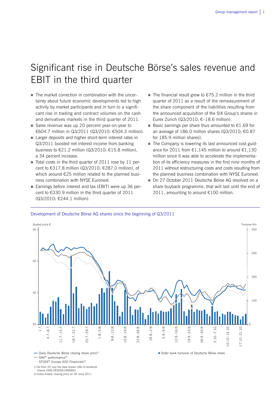## Significant rise in Deutsche Börse's sales revenue and EBIT in the third quarter

- The market correction in combination with the uncertainty about future economic developments led to high activity by market participants and in turn to a significant rise in trading and contract volumes on the cash and derivatives markets in the third quarter of 2011.
- Sales revenue was up 20 percent year-on-year to €604.7 million in Q3/2011 (Q3/2010: €504.3 million).
- Larger deposits and higher short-term interest rates in Q3/2011 boosted net interest income from banking business to  $\epsilon$ 21.2 million (Q3/2010:  $\epsilon$ 15.8 million), a 34 percent increase.
- $\blacksquare$  Total costs in the third quarter of 2011 rose by 11 percent to €317.8 million (Q3/2010: €287.0 million), of which around €25 million related to the planned business combination with NYSE Euronext.
- Earnings before interest and tax (EBIT) were up 36 percent to €330.9 million in the third quarter of 2011 (Q3/2010: €244.1 million).
- The financial result grew to  $\epsilon$ 75.2 million in the third quarter of 2011 as a result of the remeasurement of the share component of the liabilities resulting from the announced acquisition of the SIX Group's shares in Eurex Zürich (Q3/2010: €–18.6 million).
- Basic earnings per share thus amounted to  $£1.69$  for an average of 186.0 million shares (Q3/2010: €0.87 for 185.9 million shares).
- The Company is lowering its last announced cost guidance for 2011 from  $\epsilon$ 1,145 million to around  $\epsilon$ 1,130 million since it was able to accelerate the implementation of its efficiency measures in the first nine months of 2011 without restructuring costs and costs resulting from the planned business combination with NYSE Euronext.
- On 27 October 2011 Deutsche Börse AG resolved on a share buyback programme, that will last until the end of 2011, amounting to around €100 million.

#### Development of Deutsche Börse AG shares since the beginning of Q3/2011



- STOXX<sup>®</sup> Europe 600 Financials<sup>2)</sup>
- 1) As from 20 July the data shown refer to tendered

shares (ISIN DE000A1KRND6).

2) Index-linked, closing price on 30 June 2011

<sup>-</sup> DAX<sup>®</sup> performance<sup>2)</sup>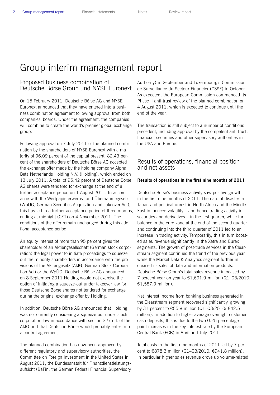## Group interim management report

## Proposed business combination of Deutsche Börse Group und NYSE Euronext

On 15 February 2011, Deutsche Börse AG and NYSE Euronext announced that they have entered into a business combination agreement following approval from both companies' boards. Under the agreement, the companies will combine to create the world's premier global exchange group.

Following approval on 7 July 2011 of the planned combination by the shareholders of NYSE Euronext with a majority of 96.09 percent of the capital present, 82.43 percent of the shareholders of Deutsche Börse AG accepted the exchange offer made by the holding company Alpha Beta Netherlands Holding N.V. (Holding), which ended on 13 July 2011. A total of 95.42 percent of Deutsche Börse AG shares were tendered for exchange at the end of a further acceptance period on 1 August 2011. In accordance with the Wertpapiererwerbs- und Übernahmegesetz (WpÜG, German Securities Acquisition and Takeover Act), this has led to a further acceptance period of three months, ending at midnight (CET) on 4 November 2011. The conditions of the offer remain unchanged during this additional acceptance period.

An equity interest of more than 95 percent gives the shareholder of an Aktiengesellschaft (German stock corporation) the legal power to initiate proceedings to squeeze out the minority shareholders in accordance with the provisions of the Aktiengesetz (AktG, German Stock Corporation Act) or the WpÜG. Deutsche Börse AG announced on 8 September 2011 Holding would not exercise the option of initiating a squeeze-out under takeover law for those Deutsche Börse shares not tendered for exchange during the original exchange offer by Holding.

In addition, Deutsche Börse AG announced that Holding was not currently considering a squeeze-out under stock corporation law in accordance with section 327a ff. of the AktG and that Deutsche Börse would probably enter into a control agreement.

The planned combination has now been approved by different regulatory and supervisory authorities: the Committee on Foreign Investment in the United States in August 2011, the Bundesanstalt für Finanzdienstleistungsaufsicht (BaFin, the German Federal Financial Supervisory Authority) in September and Luxembourg's Commission de Surveillance du Secteur Financier (CSSF) in October. As expected, the European Commission commenced its Phase II anti-trust review of the planned combination on 4 August 2011, which is expected to continue until the end of the year.

The transaction is still subject to a number of conditions precedent, including approval by the competent anti-trust, financial, securities and other supervisory authorities in the USA and Europe.

## Results of operations, financial position and net assets

#### **Results of operations in the first nine months of 2011**

Deutsche Börse's business activity saw positive growth in the first nine months of 2011. The natural disaster in Japan and political unrest in North Africa and the Middle East influenced volatility – and hence trading activity in securities and derivatives – in the first quarter, while turbulence in the euro zone at the end of the second quarter and continuing into the third quarter of 2011 led to an increase in trading activity. Temporarily, this in turn boosted sales revenue significantly in the Xetra and Eurex segments. The growth of post-trade services in the Clearstream segment continued the trend of the previous year, while the Market Data & Analytics segment further increased its sales of data and information products. Deutsche Börse Group's total sales revenue increased by 7 percent year-on-year to €1,691.9 million (Q1–Q3/2010: €1,587.9 million).

Net interest income from banking business generated in the Clearstream segment recovered significantly, growing by 31 percent to €55.8 million (Q1–Q3/2010: €42.5 million). In addition to higher average overnight customer cash deposits, this is due to the two 0.25 percentage point increases in the key interest rate by the European Central Bank (ECB) in April and July 2011.

Total costs in the first nine months of 2011 fell by 7 percent to €878.3 million (Q1–Q3/2010: €941.8 million). In particular higher sales revenue drove up volume-related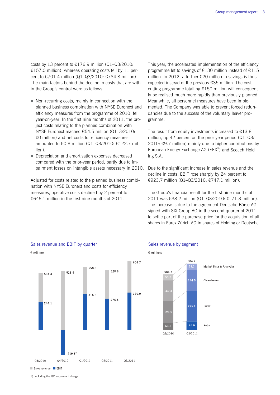costs by 13 percent to  $£176.9$  million (Q1-Q3/2010: €157.0 million), whereas operating costs fell by 11 percent to €701.4 million (Q1–Q3/2010: €784.8 million). The main factors behind the decline in costs that are within the Group's control were as follows:

- Non-recurring costs, mainly in connection with the planned business combination with NYSE Euronext and efficiency measures from the programme of 2010, fell year-on-year. In the first nine months of 2011, the project costs relating to the planned combination with NYSE Euronext reached €54.5 million (Q1–3/2010: €0 million) and net costs for efficiency measures amounted to €0.8 million (Q1–Q3/2010: €122.7 million).
- Depreciation and amortisation expenses decreased compared with the prior-year period, partly due to impairment losses on intangible assets necessary in 2010.

Adjusted for costs related to the planned business combination with NYSE Euronext and costs for efficiency measures, operative costs declined by 2 percent to €646.1 million in the first nine months of 2011.

This year, the accelerated implementation of the efficiency programme let to savings of €130 million instead of €115 million. In 2012, a further €20 million in savings is thus expected instead of the previous €35 million. The cost cutting programme totalling €150 million will consequently be realised much more rapidly than previously planned. Meanwhile, all personnel measures have been implemented. The Company was able to prevent forced redundancies due to the success of the voluntary leaver programme.

The result from equity investments increased to  $£13.8$ million, up 42 percent on the prior-year period (Q1–Q3/ 2010: €9.7 million) mainly due to higher contributions by European Energy Exchange AG (EEX®) and Scoach Holding S.A.

Due to the significant increase in sales revenue and the decline in costs, EBIT rose sharply by 24 percent to €923.7 million (Q1–Q3/2010: €747.1 million).

The Group's financial result for the first nine months of 2011 was €38.2 million (Q1–Q3/2010: €–71.3 million). The increase is due to the agreement Deutsche Börse AG signed with SIX Group AG in the second quarter of 2011 to settle part of the purchase price for the acquisition of all shares in Eurex Zürich AG in shares of Holding or Deutsche



1) Including the ISE impairment charge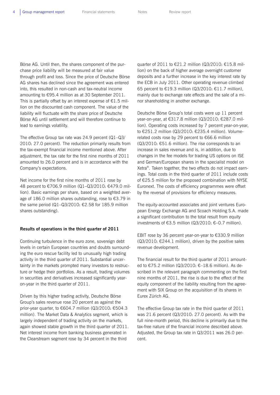Börse AG. Until then, the shares component of the purchase price liability will be measured at fair value through profit and loss. Since the price of Deutsche Börse AG shares has declined since the agreement was entered into, this resulted in non-cash and tax-neutral income amounting to €95.4 million as at 30 September 2011. This is partially offset by an interest expense of  $\epsilon$ 1.5 million on the discounted cash component. The value of the liability will fluctuate with the share price of Deutsche Börse AG until settlement and will therefore continue to lead to earnings volatility.

The effective Group tax rate was 24.9 percent (Q1–Q3/ 2010: 27.0 percent). The reduction primarily results from the tax-exempt financial income mentioned above. After adjustment, the tax rate for the first nine months of 2011 amounted to 26.0 percent and is in accordance with the Company's expectations.

Net income for the first nine months of 2011 rose by 48 percent to €706.9 million (Q1–Q3/2010: €479.0 million). Basic earnings per share, based on a weighted average of 186.0 million shares outstanding, rose to €3.79 in the same period (Q1-Q3/2010: €2.58 for 185.9 million shares outstanding).

#### **Results of operations in the third quarter of 2011**

Continuing turbulence in the euro zone, sovereign debt levels in certain European countries and doubts surrounding the euro rescue facility led to unusually high trading activity in the third quarter of 2011. Substantial uncertainty in the markets prompted many investors to restructure or hedge their portfolios. As a result, trading volumes in securities and derivatives increased significantly yearon-year in the third quarter of 2011.

Driven by this higher trading activity, Deutsche Börse Group's sales revenue rose 20 percent as against the prior-year quarter, to €604.7 million (Q3/2010: €504.3 million). The Market Data & Analytics segment, which is largely independent of trading activity on the markets, again showed stable growth in the third quarter of 2011. Net interest income from banking business generated in the Clearstream segment rose by 34 percent in the third

quarter of 2011 to €21.2 million (Q3/2010: €15.8 million) on the back of higher average overnight customer deposits and a further increase in the key interest rate by the ECB in July 2011. Other operating revenue climbed 65 percent to €19.3 million (Q3/2010: €11.7 million), mainly due to exchange rate effects and the sale of a minor shareholding in another exchange.

Deutsche Börse Group's total costs were up 11 percent year-on-year, at €317.8 million (Q3/2010: €287.0 million). Operating costs increased by 7 percent year-on-year, to €251.2 million (Q3/2010: €235.4 million). Volumerelated costs rose by 29 percent to €66.6 million (Q3/2010: €51.6 million). The rise corresponds to an increase in sales revenue and is, in addition, due to changes in the fee models for trading US options on ISE and German/European shares in the specialist model on Xetra®. Taken together, the two effects do not impact earnings. Total costs in the third quarter of 2011 include costs of €25.5 million for the proposed combination with NYSE Euronext. The costs of efficiency programmes were offset by the reversal of provisions for efficiency measures.

The equity-accounted associates and joint ventures European Energy Exchange AG and Scoach Holding S.A. made a significant contribution to the total result from equity investments of €3.5 million (Q3/2010: €–0.7 million).

EBIT rose by 36 percent year-on-year to €330.9 million (Q3/2010: €244.1 million), driven by the positive sales revenue development.

The financial result for the third quarter of 2011 amounted to €75.2 million (Q3/2010: €–18.6 million). As described in the relevant paragraph commenting on the first nine months of 2011, the rise is due to the effect of the equity component of the liability resulting from the agreement with SIX Group on the acquisition of its shares in Eurex Zürich AG.

The effective Group tax rate in the third quarter of 2011 was 21.6 percent (Q3/2010: 27.0 percent). As with the full nine-month period, this decline is primarily due to the tax-free nature of the financial income described above. Adjusted, the Group tax rate in Q3/2011 was 26.0 percent.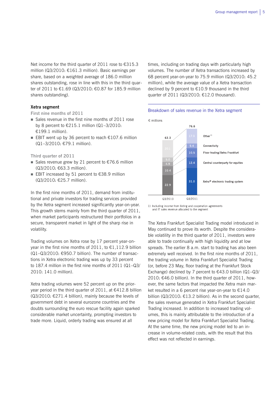Net income for the third quarter of 2011 rose to €315.3 million (Q3/2010: €161.3 million). Basic earnings per share, based on a weighted average of 186.0 million shares outstanding, rose in line with this in the third quarter of 2011 to €1.69 (Q3/2010: €0.87 for 185.9 million shares outstanding).

times, including on trading days with particularly high volumes. The number of Xetra transactions increased by 68 percent year-on-year to 75.9 million (Q3/2010: 45.2 million), while the average value of a Xetra transaction declined by 9 percent to €10.9 thousand in the third quarter of 2011 (Q3/2010: €12.0 thousand).

#### **Xetra segment**

**First nine months of 2011** 

- Sales revenue in the first nine months of 2011 rose by 8 percent to €215.1 million (Q1–3/2010: €199.1 million).
- EBIT went up by 36 percent to reach  $€107.6$  million (Q1–3/2010: €79.1 million).

#### **Third quarter of 2011**

- Sales revenue grew by 21 percent to  $\epsilon$ 76.6 million (Q3/2010: €63.3 million).
- EBIT increased by 51 percent to €38.9 million (Q3/2010: €25.7 million).

In the first nine months of 2011, demand from institutional and private investors for trading services provided by the Xetra segment increased significantly year-on-year. This growth stems mainly from the third quarter of 2011, when market participants restructured their portfolios in a secure, transparent market in light of the sharp rise in volatility.

Trading volumes on Xetra rose by 17 percent year-onyear in the first nine months of 2011, to  $\epsilon$ 1,112.9 billion (Q1–Q3/2010: €950.7 billion). The number of transactions in Xetra electronic trading was up by 33 percent to 187.4 million in the first nine months of 2011 (Q1–Q3/ 2010: 141.0 million).

Xetra trading volumes were 52 percent up on the prioryear period in the third quarter of 2011, at €412.8 billion (Q3/2010: €271.4 billion), mainly because the levels of government debt in several eurozone countries and the doubts surrounding the euro rescue facility again sparked considerable market uncertainty, prompting investors to trade more. Liquid, orderly trading was ensured at all





1) Including income from listing and cooperation agreements<br>and IT sales revenue allocated to the segment

The Xetra Frankfurt Specialist Trading model introduced in May continued to prove its worth. Despite the considerable volatility in the third quarter of 2011, investors were able to trade continually with high liquidity and at low spreads. The earlier 8 a.m. start to trading has also been extremely well received. In the first nine months of 2011, the trading volume in Xetra Frankfurt Specialist Trading (or, before 23 May, floor trading at the Frankfurt Stock Exchange) declined by 7 percent to  $€43.0$  billion (Q1–Q3/ 2010: €46.0 billion). In the third quarter of 2011, however, the same factors that impacted the Xetra main market resulted in a 6 percent rise year-on-year to €14.0 billion (Q3/2010:  $£13.2$  billion). As in the second quarter, the sales revenue generated in Xetra Frankfurt Specialist Trading increased. In addition to increased trading volumes, this is mainly attributable to the introduction of a new pricing model for Xetra Frankfurt Specialist Trading. At the same time, the new pricing model led to an increase in volume-related costs, with the result that this effect was not reflected in earnings.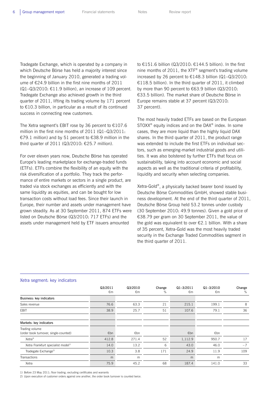Tradegate Exchange, which is operated by a company in which Deutsche Börse has held a majority interest since the beginning of January 2010, generated a trading volume of €24.9 billion in the first nine months of 2011 (Q1–Q3/2010: €11.9 billion), an increase of 109 percent. Tradegate Exchange also achieved growth in the third quarter of 2011, lifting its trading volume by 171 percent to €10.3 billion, in particular as a result of its continued success in connecting new customers.

The Xetra segment's EBIT rose by 36 percent to €107.6 million in the first nine months of 2011 (Q1–Q3/2011: €79.1 million) and by 51 percent to €38.9 million in the third quarter of 2011 (Q3/2010: €25.7 million).

For over eleven years now, Deutsche Börse has operated Europe's leading marketplace for exchange-traded funds (ETFs). ETFs combine the flexibility of an equity with the risk diversification of a portfolio. They track the performance of entire markets or sectors in a single product, are traded via stock exchanges as efficiently and with the same liquidity as equities, and can be bought for low transaction costs without load fees. Since their launch in Europe, their number and assets under management have grown steadily. As at 30 September 2011, 874 ETFs were listed on Deutsche Börse (Q3/2010: 717 ETFs) and the assets under management held by ETF issuers amounted

to €151.6 billion (Q3/2010: €144.5 billion). In the first nine months of 2011, the XTF<sup>®</sup> segment's trading volume increased by 26 percent to €148.3 billion (Q1–Q3/2010: €118.5 billion). In the third quarter of 2011, it climbed by more than 90 percent to €63.9 billion (Q3/2010: €33.5 billion). The market share of Deutsche Börse in Europe remains stable at 37 percent (Q3/2010: 37 percent).

The most heavily traded ETFs are based on the European  $STOXX^*$  equity indices and on the DAX® index. In some cases, they are more liquid than the highly liquid DAX shares. In the third quarter of 2011, the product range was extended to include the first ETFs on individual sectors, such as emerging-market industrial goods and utilities. It was also bolstered by further ETFs that focus on sustainability, taking into account economic and social aspects as well as the traditional criteria of profitability, liquidity and security when selecting companies.

Xetra-Gold®, a physically backed bearer bond issued by Deutsche Börse Commodities GmbH, showed stable business development. At the end of the third quarter of 2011, Deutsche Börse Group held 53.2 tonnes under custody (30 September 2010: 49.9 tonnes). Given a gold price of €38.79 per gram on 30 September 2011, the value of the gold was equivalent to over €2.1 billion. With a share of 35 percent, Xetra-Gold was the most heavily traded security in the Exchange Traded Commodities segment in the third quarter of 2011.

|                                                         | Q3/2011<br>€m | Q3/2010<br>€m | Change<br>% | $Q1 - 3/2011$<br>€m | $Q1 - 3/2010$<br>€m | Change<br>% |
|---------------------------------------------------------|---------------|---------------|-------------|---------------------|---------------------|-------------|
| Business: key indicators                                |               |               |             |                     |                     |             |
| Sales revenue                                           | 76.6          | 63.3          | 21          | 215.1               | 199.1               | 8           |
| EBIT                                                    | 38.9          | 25.7          | 51          | 107.6               | 79.1                | 36          |
| Markets: key indicators                                 |               |               |             |                     |                     |             |
| Trading volume<br>(order book turnover, single-counted) | €bn           | €bn           |             | €bn                 | €bn                 |             |
| Xetra <sup>®</sup>                                      | 412.8         | 271.4         | 52          | 1,112.9             | 950.7               | 17          |
| Xetra Frankfurt specialist model <sup>1)</sup>          | 14.0          | 13.2          | 6           | 43.0                | 46.0                | $-7$        |
| Tradegate Exchange <sup>2)</sup>                        | 10.3          | 3.8           | 171         | 24.9                | 11.9                | 109         |
| Transactions                                            | m             | m             |             | m                   | m                   |             |
| Xetra                                                   | 75.9          | 45.2          | 68          | 187.4               | 141.0               | 33          |

#### Xetra segment: key indicators

1) Before 23 May 2011: floor trading; excluding certificates and warrants

2) Upon execution of customer orders against one another, the order book turnover is counted twice.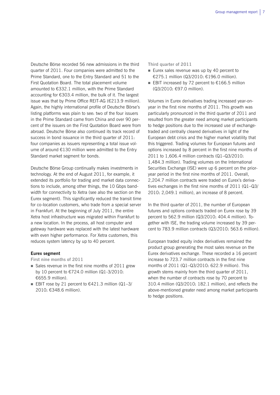Deutsche Börse recorded 56 new admissions in the third quarter of 2011. Four companies were admitted to the Prime Standard, one to the Entry Standard and 51 to the First Quotation Board. The total placement volume amounted to €332.1 million, with the Prime Standard accounting for €303.4 million, the bulk of it. The largest issue was that by Prime Office REIT-AG (€213.9 million). Again, the highly international profile of Deutsche Börse's listing platforms was plain to see: two of the four issuers in the Prime Standard came from China and over 90 percent of the issuers on the First Quotation Board were from abroad. Deutsche Börse also continued its track record of success in bond issuance in the third quarter of 2011: four companies as issuers representing a total issue volume of around €130 million were admitted to the Entry Standard market segment for bonds.

Deutsche Börse Group continually makes investments in technology. At the end of August 2011, for example, it extended its portfolio for trading and market data connections to include, among other things, the 10 Gbps bandwidth for connectivity to Xetra (see also the section on the Eurex segment). This significantly reduced the transit time for co-location customers, who trade from a special server in Frankfurt. At the beginning of July 2011, the entire Xetra host infrastructure was migrated within Frankfurt to a new location. In the process, all host computer and gateway hardware was replaced with the latest hardware with even higher performance. For Xetra customers, this reduces system latency by up to 40 percent.

#### **Eurex segment**

**First nine months of 2011** 

- Sales revenue in the first nine months of  $2011$  grew by 10 percent to €724.0 million (Q1-3/2010: €655.9 million).
- EBIT rose by 21 percent to  $€421.3$  million (Q1-3/ 2010: €348.6 million).

#### **Third quarter of 2011**

- Eurex sales revenue was up by 40 percent to €275.1 million (Q3/2010: €196.0 million).
- EBIT increased by 72 percent to  $€166.5$  million (Q3/2010: €97.0 million).

Volumes in Eurex derivatives trading increased year-onyear in the first nine months of 2011. This growth was particularly pronounced in the third quarter of 2011 and resulted from the greater need among market participants to hedge positions due to the increased use of exchangetraded and centrally cleared derivatives in light of the European debt crisis and the higher market volatility that this triggered. Trading volumes for European futures and options increased by 8 percent in the first nine months of 2011 to 1,606.4 million contracts (Q1–Q3/2010: 1,484.3 million). Trading volumes on the International Securities Exchange (ISE) were up 6 percent on the prioryear period in the first nine months of 2011. Overall, 2,204.7 million contracts were traded on Eurex's derivatives exchanges in the first nine months of 2011 (Q1–Q3/ 2010: 2,049.1 million), an increase of 8 percent.

In the third quarter of 2011, the number of European futures and options contracts traded on Eurex rose by 39 percent to 562.9 million (Q3/2010: 404.4 million). Together with ISE, the trading volume increased by 39 percent to 783.9 million contracts (Q3/2010: 563.6 million).

European traded equity index derivatives remained the product group generating the most sales revenue on the Eurex derivatives exchange. These recorded a 16 percent increase to 723.7 million contracts in the first nine months of 2011 (Q1–Q3/2010: 622.9 million). This growth stems mainly from the third quarter of 2011, when the number of contracts rose by 70 percent to 310.4 million (Q3/2010: 182.1 million), and reflects the above-mentioned greater need among market participants to hedge positions.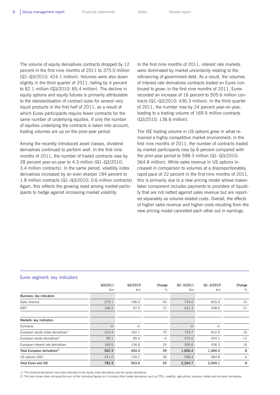The volume of equity derivatives contracts dropped by 12 percent in the first nine months of 2011 to 375.0 million (Q1–Q3/2010: 424.1 million). Volumes were also down slightly in the third quarter of 2011, falling by 4 percent to 82.1 million (Q3/2010: 85.4 million). The decline in equity options and equity futures is primarily attributable to the standardisation of contract sizes for several very liquid products in the first half of 2011, as a result of which Eurex participants require fewer contracts for the same number of underlying equities. If only the number of equities underlying the contracts is taken into account, trading volumes are up on the prior-year period.

Among the recently introduced asset classes, dividend derivatives continued to perform well. In the first nine months of 2011, the number of traded contracts rose by 28 percent year-on-year to 4.3 million (Q1–Q3/2010: 3.4 million contracts). In the same period, volatility index derivatives increased by an even sharper 184 percent to 1.8 million contracts (Q1–Q3/2010: 0.6 million contracts). Again, this reflects the growing need among market participants to hedge against increasing market volatility.

In the first nine months of 2011, interest rate markets were dominated by market uncertainty relating to the refinancing of government debt. As a result, the volumes of interest rate derivatives contracts traded on Eurex continued to grow: in the first nine months of 2011, Eurex recorded an increase of 16 percent to 505.6 million contracts (Q1–Q3/2010: 436.3 million). In the third quarter of 2011, the number rose by 24 percent year-on-year, leading to a trading volume of 169.5 million contracts (Q3/2010: 136.6 million).

The ISE trading volume in US options grew in what remained a highly competitive market environment: in the first nine months of 2011, the number of contracts traded by market participants rose by 6 percent compared with the prior-year period to 598.3 million (Q1–Q3/2010: 564.8 million). While sales revenue in US options increased in comparison to volumes at a disproportionately rapid pace of 22 percent in the first nine months of 2011, this is primarily due to a new pricing model whose makertaker component includes payments to providers of liquidity that are not netted against sales revenue but are reported separately as volume-related costs. Overall, the effects of higher sales revenue and higher costs resulting from the new pricing model cancelled each other out in earnings.

| Eurex segment: key indicators |
|-------------------------------|
|-------------------------------|

|                                                 | Q3/2011 | Q3/2010 | Change | $Q1 - 3/2011$ | $Q1 - 3/2010$ | Change |
|-------------------------------------------------|---------|---------|--------|---------------|---------------|--------|
|                                                 | €m      | €m      | %      | €m            | €m            | %      |
| Business: key indicators                        |         |         |        |               |               |        |
| Sales revenue                                   | 275.1   | 196.0   | 40     | 724.0         | 655.9         | 10     |
| <b>EBIT</b>                                     | 166.5   | 97.0    | 72     | 421.3         | 348.6         | 21     |
| Markets: key indicators                         |         |         |        |               |               |        |
| Contracts                                       | m       | m       |        | m             | m             |        |
| European equity index derivatives <sup>1)</sup> | 310.4   | 182.1   | 70     | 723.7         | 622.9         | 16     |
| European equity derivatives <sup>1)</sup>       | 82.1    | 85.4    | $-4$   | 375.0         | 424.1         | $-12$  |
| European interest rate derivatives              | 169.5   | 136.6   | 24     | 505.6         | 436.3         | 16     |
| Total European derivatives <sup>2)</sup>        | 562.9   | 404.4   | 39     | 1,606.4       | 1,484.3       | 8      |
| US options (ISE)                                | 221.0   | 159.2   | 39     | 598.3         | 564.8         | 6      |
| <b>Total Eurex and ISE</b>                      | 783.9   | 563.6   | 39     | 2,204.7       | 2,049.1       | 8      |

1) The dividend derivatives have been allocated to the equity index derivatives and the equity derivatives.

2) The total shown does not equal the sum of the individual figures as it includes other traded derivatives such as ETFs, volatility, agricultural, precious metals and emission derivatives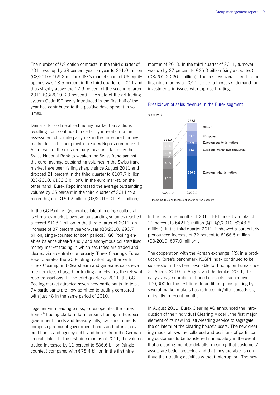The number of US option contracts in the third quarter of 2011 was up by 39 percent year-on-year to 221.0 million (Q3/2010: 159.2 million). ISE's market share of US equity options was 18.5 percent in the third quarter of 2011 and thus slightly above the 17.9 percent of the second quarter 2011 (Q3/2010: 20 percent). The state-of-the-art trading system OptimISE newly introduced in the first half of the year has contributed to this positive development in volumes.

Demand for collateralised money market transactions resulting from continued uncertainty in relation to the assessment of counterparty risk in the unsecured money market led to further growth in Eurex Repo's euro market. As a result of the extraordinary measures taken by the Swiss National Bank to weaken the Swiss franc against the euro, average outstanding volumes in the Swiss franc market have been falling sharply since August 2011 and dropped 21 percent in the third quarter to €107.7 billion (Q3/2010: €136.6 billion). In the euro market, on the other hand, Eurex Repo increased the average outstanding volume by 35 percent in the third quarter of 2011 to a record high of €159.2 billion (Q3/2010: €118.1 billion).

In the GC Pooling® (general collateral pooling) collateralised money market, average outstanding volumes reached a record €128.1 billion in the third quarter of 2011, an increase of 37 percent year-on-year (Q3/2010: €93.7 billion, single-counted for both periods). GC Pooling enables balance sheet-friendly and anonymous collateralised money market trading in which securities are traded and cleared via a central counterparty (Eurex Clearing). Eurex Repo operates the GC Pooling market together with Eurex Clearing and Clearstream and generates sales revenue from fees charged for trading and clearing the relevant repo transactions. In the third quarter of 2011, the GC Pooling market attracted seven new participants. In total, 74 participants are now admitted to trading compared with just 48 in the same period of 2010.

Together with leading banks, Eurex operates the Eurex Bonds® trading platform for interbank trading in European government bonds and treasury bills, basis instruments comprising a mix of government bonds and futures, covered bonds and agency debt, and bonds from the German federal states. In the first nine months of 2011, the volume traded increased by 11 percent to €86.6 billion (singlecounted) compared with  $E$ 78.4 billion in the first nine

months of 2010. In the third quarter of 2011, turnover was up by 27 percent to €26.0 billion (single-counted)  $(Q3/2010; \epsilon 20.4$  billion). The positive overall trend in the first nine months of 2011 is due to increased demand for investments in issues with top-notch ratings.

#### Breakdown of sales revenue in the Eurex segment

€ millions 275.1  $Other<sup>1</sup>$  $42.2$ US options 196.0 European equity derivatives  $89$ 51.6 European interest rate derivatives  $43.5$ 136.3 European index derivatives 84.8 Q3/2010 Q3/2011

1) Including IT sales revenue allocated to the segment

In the first nine months of 2011, EBIT rose by a total of 21 percent to €421.3 million (Q1–Q3/2010: €348.6 million). In the third quarter 2011, it showed a particularly pronounced increase of 72 percent to €166.5 million (Q3/2010: €97.0 million).

The cooperation with the Korean exchange KRX in a product on Korea's benchmark KOSPI index continued to be successful; it has been available for trading on Eurex since 30 August 2010. In August and September 2011, the daily average number of traded contacts reached over 100,000 for the first time. In addition, price quoting by several market makers has reduced bid/offer spreads significantly in recent months.

In August 2011, Eurex Clearing AG announced the introduction of the "Individual Clearing Model", the first major element of its new industry-leading service to segregate the collateral of the clearing house's users. The new clearing model allows the collateral and positions of participating customers to be transferred immediately in the event that a clearing member defaults, meaning that customers' assets are better protected and that they are able to continue their trading activities without interruption. The new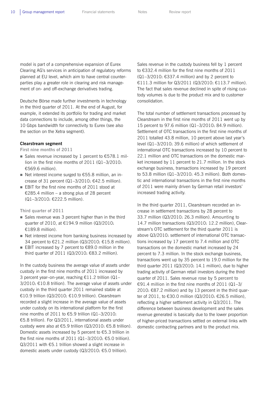model is part of a comprehensive expansion of Eurex Clearing AG's services in anticipation of regulatory reforms planned at EU level, which aim to have central counterparties play a greater role in clearing and risk management of on- and off-exchange derivatives trading.

Deutsche Börse made further investments in technology in the third quarter of 2011. At the end of August, for example, it extended its portfolio for trading and market data connections to include, among other things, the 10 Gbps bandwidth for connectivity to Eurex (see also the section on the Xetra segment).

#### **Clearstream segment**

**First nine months of 2011** 

- Sales revenue increased by 1 percent to  $£578.1$  million in the first nine months of 2011 (Q1–3/2010: €569.6 million).
- Net interest income surged to  $£55.8$  million, an increase of 31 percent (Q1-3/2010: €42.5 million).
- **EBIT** for the first nine months of 2011 stood at €285.4 million – a strong plus of 28 percent (Q1–3/2010: €222.5 million).

**Third quarter of 2011** 

- Sales revenue was 3 percent higher than in the third quarter of 2010, at €194.9 million (Q3/2010: €189.8 million).
- Net interest income from banking business increased by 34 percent to €21.2 million (Q3/2010: €15.8 million).
- EBIT increased by 7 percent to  $€89.0$  million in the third quarter of 2011 (Q3/2010: €83.2 million).

In the custody business the average value of assets under custody in the first nine months of 2011 increased by 3 percent year–on-year, reaching €11.2 trillion (Q1– 3/2010: €10.8 trillion). The average value of assets under custody in the third quarter 2011 remained stable at €10.9 trillion (Q3/2010: €10.9 trillion). Clearstream recorded a slight increase in the average value of assets under custody on its international platform for the first nine months of 2011 to €5.9 trillion (Q1–3/2010: €5.8 trillion). For Q3/2011, international assets under custody were also at €5.9 trillion (Q3/2010: €5.8 trillion). Domestic assets increased by 5 percent to €5.3 trillion in the first nine months of 2011 (Q1-3/2010: €5.0 trillion). Q3/2011 with €5.1 trillion showed a slight increase in domestic assets under custody (Q3/2010: €5.0 trillion).

Sales revenue in the custody business fell by 1 percent to €332.4 million for the first nine months of 2011 (Q1–3/2010: €337.4 million) and by 2 percent to €111.3 million for Q3/2011 (Q3/2010: €113.7 million). The fact that sales revenue declined in spite of rising custody volumes is due to the product mix and to customer consolidation.

The total number of settlement transactions processed by Clearstream in the first nine months of 2011 went up by 15 percent to 97.6 million (Q1–3/2010: 84.9 million). Settlement of OTC transactions in the first nine months of 2011 totalled 43.8 million, 10 percent above last year's level (Q1–3/2010: 39.6 million) of which settlement of international OTC transactions increased by 10 percent to 22.1 million and OTC transactions on the domestic market increased by 11 percent to 21.7 million. In the stock exchange business, transactions increased by 19 percent to 53.8 million (Q1–3/2010: 45.3 million). Both domestic and international transactions in the first nine months of 2011 were mainly driven by German retail investors' increased trading activity.

In the third quarter 2011, Clearstream recorded an increase in settlement transactions by 28 percent to 33.7 million (Q3/2010: 26.3 million). Amounting to 14.7 million transactions (Q3/2010: 12.2 million), Clearstream's OTC settlement for the third quarter 2011 is above Q3/2010: settlement of international OTC transactions increased by 17 percent to 7.4 million and OTC transactions on the domestic market increased by 24 percent to 7.3 million. In the stock exchange business, transactions went up by 35 percent to 19.0 million for the third quarter 2011 (Q3/2010: 14.1 million), due to higher trading activity of German retail investors during the third quarter of 2011. Sales revenue rose by 5 percent to €91.4 million in the first nine months of 2011 (Q1–3/ 2010: €87.2 million) and by 13 percent in the third quarter of 2011, to €30.0 million (Q3/2010: €26.5 million), reflecting a higher settlement activity in Q3/2011. The difference between business development and the sales revenue generated is basically due to the lower proportion of higher-priced transactions settled on external links with domestic contracting partners and to the product mix.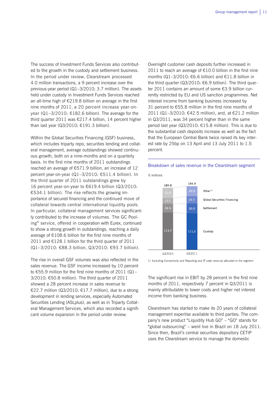The success of Investment Funds Services also contributed to the growth in the custody and settlement business. In the period under review, Clearstream processed 4.0 million transactions, a 9 percent increase over the previous-year period (Q1–3/2010: 3.7 million). The assets held under custody in Investment Funds Services reached an all-time high of €219.8 billion on average in the first nine months of 2011, a 20 percent increase year-onyear (Q1–3/2010: €182.6 billion). The average for the third quarter 2011 was €217.4 billion, 14 percent higher than last year (Q3/2010: €191.3 billion).

Within the Global Securities Financing (GSF) business, which includes triparty repo, securities lending and collateral management, average outstandings showed continuous growth, both on a nine-months and on a quarterly basis. In the first nine months of 2011 outstandings reached an average of €571.9 billion, an increase of 12 percent year-on-year (Q1–3/2010: €511.4 billion). In the third quarter of 2011 outstandings grew by 16 percent year-on-year to €619.4 billion (Q3/2010: €534.1 billion). The rise reflects the growing importance of secured financing and the continued move of collateral towards central international liquidity pools. In particular, collateral management services significantly contributed to the increase of volumes. The GC Pooling® service, offered in cooperation with Eurex, continued to show a strong growth in outstandings, reaching a daily average of  $E108.6$  billion for the first nine months of 2011 and €128.1 billion for the third quarter of 2011 (Q1–3/2010: €88.3 billion, Q3/2010: €93.7 billion).

The rise in overall GSF volumes was also reflected in the sales revenue. The GSF income increased by 10 percent to €55.9 million for the first nine months of 2011 (Q1– 3/2010: €50.8 million). The third quarter of 2011 showed a 28 percent increase in sales revenue to €22.7 million (Q3/2010: €17.7 million), due to a strong development in lending services, especially Automated Securities Lending (ASLplus), as well as in Triparty Collateral Management Services, which also recorded a significant volume expansion in the period under review.

Overnight customer cash deposits further increased in 2011 to reach an average of  $E10.0$  billion in the first nine months (Q1–3/2010: €6.6 billion) and €11.8 billion in the third quarter (Q3/2010:  $€6.9$  billion). The third quarter 2011 contains an amount of some €3.9 billion currently restricted by EU and US sanction programmes. Net interest income from banking business increased by 31 percent to €55.8 million in the first nine months of 2011 (Q1–3/2010: €42.5 million), and, at €21.2 million in Q3/2011, was 34 percent higher than in the same period last year (Q3/2010: €15.8 million). This is due to the substantial cash deposits increase as well as the fact that the European Central Bank twice raised its key interest rate by 25bp on 13 April and 13 July 2011 to 1.5 percent.

## Breakdown of sales revenue in the Clearstream segment



1) Including Connectivity and Reporting and IT sales revenue allocated to the segment

The significant rise in EBIT by 28 percent in the first nine months of 2011, respectively 7 percent in Q3/2011 is mainly attributable to lower costs and higher net interest income from banking business.

Clearstream has started to make its 20 years of collateral management expertise available to third parties: The company's new product "Liquidity Hub GO" – "GO" stands for "global outsourcing" – went live in Brazil on 18 July 2011. Since then, Brazil's central securities depository CETIP uses the Clearstream service to manage the domestic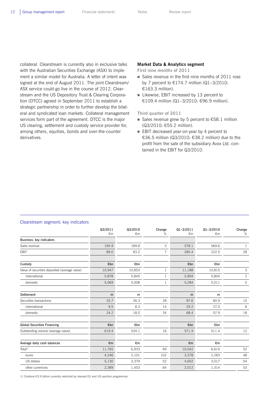collateral. Clearstream is currently also in exclusive talks with the Australian Securities Exchange (ASX) to implement a similar model for Australia. A letter of intent was signed at the end of August 2011. The joint Clearstream/ ASX service could go live in the course of 2012. Clearstream and the US Depository Trust & Clearing Corporation (DTCC) agreed in September 2011 to establish a strategic partnership in order to further develop the bilateral and syndicated loan markets. Collateral management services form part of the agreement. DTCC is the major US clearing, settlement and custody service provider for, among others, equities, bonds and over-the-counter derivatives.

#### **Market Data & Analytics segment**

**First nine months of 2011** 

- Sales revenue in the first nine months of 2011 rose by 7 percent to  $£174.7$  million (Q1-3/2010: €163.3 million).
- Likewise, EBIT increased by 13 percent to €109.4 million (Q1–3/2010: €96.9 million).

**Third quarter of 2011** 

- Sales revenue grew by 5 percent to  $£58.1$  million (Q3/2010: €55.2 million).
- EBIT decreased year-on-year by 4 percent to €36.5 million (Q3/2010: €38.2 million) due to the profit from the sale of the subsidiary Avox Ltd. contained in the EBIT for Q3/2010.

| sicalculum cogniciiti noy indicatore          |         |         |                |           |               |                |
|-----------------------------------------------|---------|---------|----------------|-----------|---------------|----------------|
|                                               | Q3/2011 | Q3/2010 | Change         | Q1-3/2011 | $Q1 - 3/2010$ | Change         |
|                                               | €m      | €m      | %              | €m        | €m            | %              |
| Business: key indicators                      |         |         |                |           |               |                |
| Sales revenue                                 | 194.9   | 189.8   | 3              | 578.1     | 569.6         | $\mathbf{1}$   |
| EBIT                                          | 89.0    | 83.2    | $\overline{7}$ | 285.4     | 222.5         | 28             |
| Custody                                       | €bn     | €bn     |                | €bn       | €bn           |                |
| Value of securities deposited (average value) | 10,947  | 10,853  | 1              | 11,188    | 10,815        | 3              |
| international                                 | 5,878   | 5,845   | $\mathbf{1}$   | 5,904     | 5,804         | $\overline{c}$ |
| domestic                                      | 5,069   | 5,008   | 1              | 5,284     | 5,011         | 5              |
| Settlement                                    | m       | m       |                | m         | m             |                |
| Securities transactions                       | 33.7    | 26.3    | 28             | 97.6      | 84.9          | 15             |
| international                                 | 9.5     | 8.3     | 14             | 29.2      | 27.0          | 8              |
| domestic                                      | 24.2    | 18.0    | 34             | 68.4      | 57.9          | 18             |
| <b>Global Securities Financing</b>            | €bn     | €bn     |                | €bn       | €bn           |                |
| Outstanding volume (average value)            | 619.4   | 534.1   | 16             | 571.9     | 511.4         | 12             |
| Average daily cash balances                   | €m      | €m      |                | €m        | €m            |                |
| Total <sup>1)</sup>                           | 11,765  | 6,933   | 69             | 10,042    | 6,614         | 52             |
| euros                                         | 4,246   | 2,101   | 102            | 3,378     | 2,283         | 48             |
| US dollars                                    | 5,130   | 3,379   | 52             | 4,652     | 3,017         | 54             |
| other currencies                              | 2,389   | 1,453   | 64             | 2,012     | 1,314         | 53             |

#### Clearstream segment: key indicators

1) Contains €3.9 billion currently restricted by relevant EU and US sanction programmes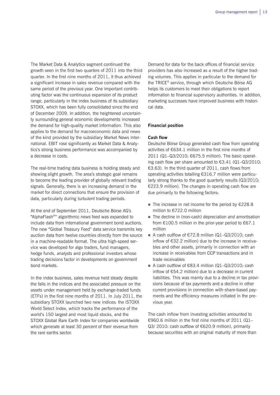The Market Data & Analytics segment continued the growth seen in the first two quarters of 2011 into the third quarter. In the first nine months of 2011, it thus achieved a significant increase in sales revenue compared with the same period of the previous year. One important contributing factor was the continuous expansion of its product range, particularly in the index business of its subsidiary STOXX, which has been fully consolidated since the end of December 2009. In addition, the heightened uncertainty surrounding general economic developments increased the demand for high-quality market information. This also applies to the demand for macroeconomic data and news of the kind provided by the subsidiary Market News International. EBIT rose significantly as Market Data & Analytics's strong business performance was accompanied by a decrease in costs.

The real-time trading data business is holding steady and showing slight growth. The area's strategic goal remains to become the leading provider of globally relevant trading signals. Generally, there is an increasing demand in the market for direct connections that ensure the provision of data, particularly during turbulent trading periods.

At the end of September 2011, Deutsche Börse AG's "AlphaFlash®" algorithmic news feed was expanded to include data from international government bond auctions. The new "Global Treasury Feed" data service transmits key auction data from twelve countries directly from the source in a machine-readable format. The ultra high-speed service was developed for algo traders, fund managers, hedge funds, analysts and professional investors whose trading decisions factor in developments on government bond markets.

In the index business, sales revenue held steady despite the falls in the indices and the associated pressure on the assets under management held by exchange-traded funds (ETFs) in the first nine months of 2011. In July 2011, the subsidiary STOXX launched two new indices: the iSTOXX World Select Index, which tracks the performance of the world's 150 largest and most liquid stocks, and the STOXX Global Rare Earth Index for companies worldwide which generate at least 30 percent of their revenue from the rare earths sector.

Demand for data for the back offices of financial service providers has also increased as a result of the higher trading volumes. This applies in particular to the demand for the TRICE® service, through which Deutsche Börse AG helps its customers to meet their obligations to report information to financial supervisory authorities. In addition, marketing successes have improved business with historical data.

#### **Financial position**

#### **Cash flow**

Deutsche Börse Group generated cash flow from operating activities of €634.1 million in the first nine months of 2011 (Q1–Q3/2010: €675.5 million). The basic operating cash flow per share amounted to €3.41 (Q1–Q3/2010: €3.63). In the third quarter of 2011, cash flows from operating activities totalling €316.7 million were particularly strong thanks to the good quarterly results (Q3/2010: €223.9 million). The changes in operating cash flow are due primarily to the following factors:

- The increase in net income for the period by  $£228.8$ million to €722.0 million
- The decline in (non-cash) depreciation and amortisation from €100.5 million in the prior-year period to €67.1 million
- A cash outflow of  $E72.8$  million (Q1-Q3/2010: cash inflow of €32.2 million) due to the increase in receivables and other assets, primarily in connection with an increase in receivables from CCP transactions and in trade receivables
- A cash outflow of  $€83.4$  million  $(Q1-Q3/2Q1Q;$  cash inflow of €54.2 million) due to a decrease in current liabilities. This was mainly due to a decline in tax provisions because of tax payments and a decline in other current provisions in connection with share-based payments and the efficiency measures initiated in the previous year.

The cash inflow from investing activities amounted to €960.6 million in the first nine months of 2011 (Q1– Q3/ 2010: cash outflow of €620.9 million), primarily because securities with an original maturity of more than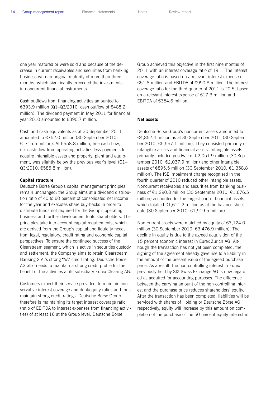one year matured or were sold and because of the decrease in current receivables and securities from banking business with an original maturity of more than three months, which significantly exceeded the investments in noncurrent financial instruments.

Cash outflows from financing activities amounted to €393.9 million (Q1–Q3/2010: cash outflow of €488.2 million). The dividend payment in May 2011 for financial year 2010 amounted to €390.7 million.

Cash and cash equivalents as at 30 September 2011 amounted to €752.0 million (30 September 2010: €–715.5 million). At €558.8 million, free cash flow, i.e. cash flow from operating activities less payments to acquire intangible assets and property, plant and equipment, was slightly below the previous year's level (Q1– Q3/2010: €585.8 million).

#### **Capital structure**

Deutsche Börse Group's capital management principles remain unchanged: the Group aims at a dividend distribution ratio of 40 to 60 percent of consolidated net income for the year and executes share buy-backs in order to distribute funds not required for the Group's operating business and further development to its shareholders. The principles take into account capital requirements, which are derived from the Group's capital and liquidity needs from legal, regulatory, credit rating and economic capital perspectives. To ensure the continued success of the Clearstream segment, which is active in securities custody and settlement, the Company aims to retain Clearstream Banking S.A.'s strong "AA" credit rating. Deutsche Börse AG also needs to maintain a strong credit profile for the benefit of the activities at its subsidiary Eurex Clearing AG.

Customers expect their service providers to maintain conservative interest coverage and debt/equity ratios and thus maintain strong credit ratings. Deutsche Börse Group therefore is maintaining its target interest coverage ratio (ratio of EBITDA to interest expenses from financing activities) of at least 16 at the Group level. Deutsche Börse

Group achieved this objective in the first nine months of 2011 with an interest coverage ratio of 19.1. The interest coverage ratio is based on a relevant interest expense of €51.8 million and EBITDA of €990.8 million. The interest coverage ratio for the third quarter of 2011 is 20.5, based on a relevant interest expense of €17.3 million and EBITDA of €354.6 million.

#### **Net assets**

Deutsche Börse Group's noncurrent assets amounted to €4,852.4 million as at 30 September 2011 (30 September 2010: €5,557.1 million). They consisted primarily of intangible assets and financial assets. Intangible assets primarily included goodwill of €2,051.9 million (30 September 2010: €2,037.9 million) and other intangible assets of €895.5 million (30 September 2010: €1,358.8 million). The ISE impairment charge recognised in the fourth quarter of 2010 reduced other intangible assets. Noncurrent receivables and securities from banking business of €1,290.8 million (30 September 2010: €1,676.5 million) accounted for the largest part of financial assets, which totalled  $£1,611.2$  million as at the balance sheet date (30 September 2010: €1,919.5 million).

Non-current assets were matched by equity of €3,124.0 million (30 September 2010: €3,476.9 million). The decline in equity is due to the agreed acquisition of the 15 percent economic interest in Eurex Zürich AG. Although the transaction has not yet been completed, the signing of the agreement already gave rise to a liability in the amount of the present value of the agreed purchase price. As a result, the non-controlling interest in Eurex previously held by SIX Swiss Exchange AG is now regarded as acquired for accounting purposes. The difference between the carrying amount of the non-controlling interest and the purchase price reduces shareholders' equity. After the transaction has been completed, liabilities will be serviced with shares of Holding or Deutsche Börse AG; respectively, equity will increase by this amount on completion of the purchase of the 50 percent equity interest in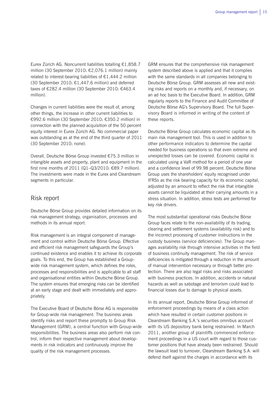Eurex Zürich AG. Noncurrent liabilities totalling €1,858.7 million (30 September 2010: €2,076.1 million) mainly related to interest-bearing liabilities of  $E1,444.2$  million (30 September 2010: €1,447.6 million) and deferred taxes of €282.4 million (30 September 2010: €463.4 million).

Changes in current liabilities were the result of, among other things, the increase in other current liabilities to €992.6 million (30 September 2010: €350.2 million) in connection with the planned acquisition of the 50 percent equity interest in Eurex Zürich AG. No commercial paper was outstanding as at the end of the third quarter of 2011 (30 September 2010: none).

Overall, Deutsche Börse Group invested €75.3 million in intangible assets and property, plant and equipment in the first nine months of 2011 (Q1–Q3/2010: €89.7 million). The investments were made in the Eurex and Clearstream segments in particular.

### Risk report

Deutsche Börse Group provides detailed information on its risk management strategy, organisation, processes and methods in its annual report.

Risk management is an integral component of management and control within Deutsche Börse Group. Effective and efficient risk management safeguards the Group's continued existence and enables it to achieve its corporate goals. To this end, the Group has established a Groupwide risk management system, which defines the roles, processes and responsibilities and is applicable to all staff and organisational entities within Deutsche Börse Group. The system ensures that emerging risks can be identified at an early stage and dealt with immediately and appropriately.

The Executive Board of Deutsche Börse AG is responsible for Group-wide risk management. The business areas identify risks and report these promptly to Group Risk Management (GRM), a central function with Group-wide responsibilities. The business areas also perform risk control, inform their respective management about developments in risk indicators and continuously improve the quality of the risk management processes.

GRM ensures that the comprehensive risk management system described above is applied and that it complies with the same standards in all companies belonging to Deutsche Börse Group. GRM assesses all new and existing risks and reports on a monthly and, if necessary, on an ad hoc basis to the Executive Board. In addition, GRM regularly reports to the Finance and Audit Committee of Deutsche Börse AG's Supervisory Board. The full Supervisory Board is informed in writing of the content of these reports.

Deutsche Börse Group calculates economic capital as its main risk management tool. This is used in addition to other performance indicators to determine the capital needed for business operations so that even extreme and unexpected losses can be covered. Economic capital is calculated using a VaR method for a period of one year and a confidence level of 99.98 percent. Deutsche Börse Group uses the shareholders' equity recognised under IFRSs as the risk bearing capacity for its economic capital, adjusted by an amount to reflect the risk that intangible assets cannot be liquidated at their carrying amounts in a stress situation. In addition, stress tests are performed for key risk drivers.

The most substantial operational risks Deutsche Börse Group faces relate to the non-availability of its trading, clearing and settlement systems (availability risk) and to the incorrect processing of customer instructions in the custody business (service deficiencies). The Group manages availability risk through intensive activities in the field of business continuity management. The risk of service deficiencies is mitigated through a reduction in the amount of manual intervention necessary or through better protection. There are also legal risks and risks associated with business practices. In addition, accidents or natural hazards as well as sabotage and terrorism could lead to financial losses due to damage to physical assets.

In its annual report, Deutsche Börse Group informed of enforcement proceedings by means of a class action which have resulted in certain customer positions in Clearstream Banking S.A.'s securities omnibus account with its US depository bank being restrained. In March 2011, another group of plaintiffs commenced enforcement proceedings in a US court with regard to those customer positions that have already been restrained. Should the lawsuit lead to turnover, Clearstream Banking S.A. will defend itself against the charges in accordance with its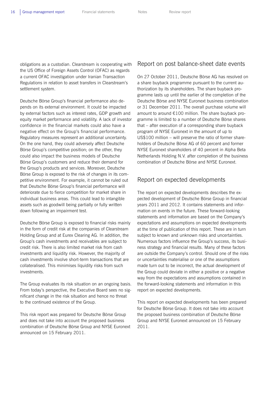obligations as a custodian. Clearstream is cooperating with the US Office of Foreign Assets Control (OFAC) as regards a current OFAC investigation under Iranian Transaction Regulations in relation to asset transfers in Clearstream's settlement system.

Deutsche Börse Group's financial performance also depends on its external environment. It could be impacted by external factors such as interest rates, GDP growth and equity market performance and volatility. A lack of investor confidence in the financial markets could also have a negative effect on the Group's financial performance. Regulatory measures represent an additional uncertainty. On the one hand, they could adversely affect Deutsche Börse Group's competitive position; on the other, they could also impact the business models of Deutsche Börse Group's customers and reduce their demand for the Group's products and services. Moreover, Deutsche Börse Group is exposed to the risk of changes in its competitive environment. For example, it cannot be ruled out that Deutsche Börse Group's financial performance will deteriorate due to fierce competition for market share in individual business areas. This could lead to intangible assets such as goodwill being partially or fully written down following an impairment test.

Deutsche Börse Group is exposed to financial risks mainly in the form of credit risk at the companies of Clearstream Holding Group and at Eurex Clearing AG. In addition, the Group's cash investments and receivables are subject to credit risk. There is also limited market risk from cash investments and liquidity risk. However, the majority of cash investments involve short-term transactions that are collateralised. This minimises liquidity risks from such investments.

The Group evaluates its risk situation on an ongoing basis. From today's perspective, the Executive Board sees no significant change in the risk situation and hence no threat to the continued existence of the Group.

This risk report was prepared for Deutsche Börse Group and does not take into account the proposed business combination of Deutsche Börse Group and NYSE Euronext announced on 15 February 2011.

### Report on post balance-sheet date events

On 27 October 2011, Deutsche Börse AG has resolved on a share buyback programme pursuant to the current authorization by its shareholders. The share buyback programme lasts up until the earlier of the completion of the Deutsche Börse and NYSE Euronext business combination or 31 December 2011. The overall purchase volume will amount to around €100 million. The share buyback programme is limited to a number of Deutsche Börse shares that – after execution of a corresponding share buyback program of NYSE Euronext in the amount of up to US\$100 million – will preserve the ratio of former shareholders of Deutsche Börse AG of 60 percent and former NYSE Euronext shareholders of 40 percent in Alpha Beta Netherlands Holding N.V. after completion of the business combination of Deutsche Börse and NYSE Euronext.

## Report on expected developments

The report on expected developments describes the expected development of Deutsche Börse Group in financial years 2011 and 2012. It contains statements and information on events in the future. These forward-looking statements and information are based on the Company's expectations and assumptions on expected developments at the time of publication of this report. These are in turn subject to known and unknown risks and uncertainties. Numerous factors influence the Group's success, its business strategy and financial results. Many of these factors are outside the Company's control. Should one of the risks or uncertainties materialise or one of the assumptions made turn out to be incorrect, the actual development of the Group could deviate in either a positive or a negative way from the expectations and assumptions contained in the forward-looking statements and information in this report on expected developments.

This report on expected developments has been prepared for Deutsche Börse Group. It does not take into account the proposed business combination of Deutsche Börse Group and NYSE Euronext announced on 15 February 2011.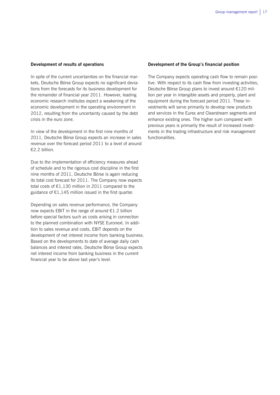#### **Development of results of operations**

In spite of the current uncertainties on the financial markets, Deutsche Börse Group expects no significant deviations from the forecasts for its business development for the remainder of financial year 2011. However, leading economic research institutes expect a weakening of the economic development in the operating environment in 2012, resulting from the uncertainty caused by the debt crisis in the euro zone.

In view of the development in the first nine months of 2011, Deutsche Börse Group expects an increase in sales revenue over the forecast period 2011 to a level of around €2.2 billion.

Due to the implementation of efficiency measures ahead of schedule and to the rigorous cost discipline in the first nine months of 2011, Deutsche Börse is again reducing its total cost forecast for 2011. The Company now expects total costs of €1,130 million in 2011 compared to the guidance of  $E1,145$  million issued in the first quarter.

Depending on sales revenue performance, the Company now expects EBIT in the range of around €1.2 billion before special factors such as costs arising in connection to the planned combination with NYSE Euronext. In addition to sales revenue and costs, EBIT depends on the development of net interest income from banking business. Based on the developments to date of average daily cash balances and interest rates, Deutsche Börse Group expects net interest income from banking business in the current financial year to be above last year's level.

#### **Development of the Group's financial position**

The Company expects operating cash flow to remain positive. With respect to its cash flow from investing activities, Deutsche Börse Group plans to invest around €120 million per year in intangible assets and property, plant and equipment during the forecast period 2011. These investments will serve primarily to develop new products and services in the Eurex and Clearstream segments and enhance existing ones. The higher sum compared with previous years is primarily the result of increased investments in the trading infrastructure and risk management functionalities.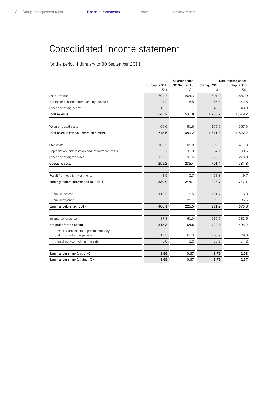## Consolidated income statement

for the period 1 January to 30 September 2011

|                                                                       | 30 Sep. 2011<br>€m | Quarter ended<br>30 Sep. 2010<br>$\epsilon$ m | 30 Sep. 2011<br>€m | Nine months ended<br>30 Sep. 2010<br>€m |
|-----------------------------------------------------------------------|--------------------|-----------------------------------------------|--------------------|-----------------------------------------|
| Sales revenue                                                         | 604.7              | 504.3                                         | 1,691.9            | 1,587.9                                 |
| Net interest income from banking business                             | 21.2               | 15.8                                          | 55.8               | 42.5                                    |
| Other operating income                                                | 19.3               | 11.7                                          | 40.5               | 48.8                                    |
| <b>Total revenue</b>                                                  | 645.2              | 531.8                                         | 1,788.2            | 1,679.2                                 |
| Volume-related costs                                                  | $-66.6$            | $-51.6$                                       | $-176.9$           | $-157.0$                                |
| Total revenue less volume-related costs                               | 578.6              | 480.2                                         | 1,611.3            | 1,522.2                                 |
| Staff costs                                                           | $-100.2$           | $-105.8$                                      | $-295.3$           | $-411.3$                                |
| Depreciation, amortisation and impairment losses                      | $-23.7$            | $-39.0$                                       | $-67.1$            | $-100.5$                                |
| Other operating expenses                                              | $-127.3$           | $-90.6$                                       | $-339.0$           | $-273.0$                                |
| Operating costs                                                       | $-251.2$           | $-235.4$                                      | $-701.4$           | $-784.8$                                |
| Result from equity investments                                        | 3.5                | $-0.7$                                        | 13.8               | 9.7                                     |
| Earnings before interest and tax (EBIT)                               | 330.9              | 244.1                                         | 923.7              | 747.1                                   |
| Financial income                                                      | 110.5              | 6.5                                           | 134.7              | 15.3                                    |
| Financial expense                                                     | $-35.3$            | $-25.1$                                       | $-96.5$            | $-86.6$                                 |
| Earnings before tax (EBT)                                             | 406.1              | 225.5                                         | 961.9              | 675.8                                   |
| Income tax expense                                                    | $-87.8$            | $-61.0$                                       | $-239.9$           | $-182.6$                                |
| Net profit for the period                                             | 318.3              | 164.5                                         | 722.0              | 493.2                                   |
| thereof shareholders of parent company<br>(net income for the period) | 315.3              | 161.3                                         | 706.9              | 479.0                                   |
| thereof non-controlling interests                                     | 3.0                | 3.2                                           | 15.1               | 14.2                                    |
| Earnings per share (basic) $(E)$                                      | 1.69               | 0.87                                          | 3.79               | 2.58                                    |
| Earnings per share (diluted) $(E)$                                    | 1.69               | 0.87                                          | 3.79               | 2.57                                    |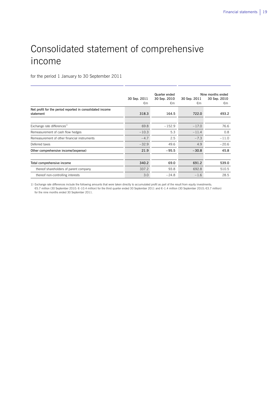# Consolidated statement of comprehensive income

for the period 1 January to 30 September 2011

|                                                                        | 30 Sep. 2011<br>€m | Quarter ended<br>30 Sep. 2010<br>€m | 30 Sep. 2011<br>€m | Nine months ended<br>30 Sep. 2010<br>€m |
|------------------------------------------------------------------------|--------------------|-------------------------------------|--------------------|-----------------------------------------|
| Net profit for the period reported in consolidated income<br>statement | 318.3              | 164.5                               | 722.0              | 493.2                                   |
|                                                                        |                    |                                     |                    |                                         |
| Exchange rate differences <sup>1)</sup>                                | 69.8               | $-152.9$                            | $-17.0$            | 76.6                                    |
| Remeasurement of cash flow hedges                                      | $-10.3$            | 5.3                                 | $-11.4$            | 0.8                                     |
| Remeasurement of other financial instruments                           | $-4.7$             | 2.5                                 | $-7.3$             | $-11.0$                                 |
| Deferred taxes                                                         | $-32.9$            | 49.6                                | 4.9                | $-20.6$                                 |
| Other comprehensive income/(expense)                                   | 21.9               | $-95.5$                             | $-30.8$            | 45.8                                    |
|                                                                        |                    |                                     |                    |                                         |
| Total comprehensive income                                             | 340.2              | 69.0                                | 691.2              | 539.0                                   |
| thereof shareholders of parent company                                 | 337.2              | 93.8                                | 692.8              | 510.5                                   |
| thereof non-controlling interests                                      | 3.0                | $-24.8$                             | $-1.6$             | 28.5                                    |

1) Exchange rate differences include the following amounts that were taken directly to accumulated profit as part of the result from equity investments: €5.7 million (30 September 2010: €–10.4 million) for the third quarter ended 30 September 2011 and €–1.4 million (30 September 2010: €3.7 million) for the nine months ended 30 September 2011.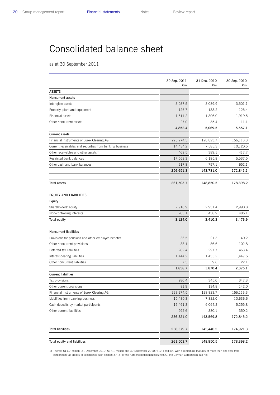## Consolidated balance sheet

as at 30 September 2011

|                                                                        | 30 Sep. 2011<br>€m | 31 Dec. 2010<br>€m | 30 Sep. 2010<br>€m |
|------------------------------------------------------------------------|--------------------|--------------------|--------------------|
| <b>ASSETS</b>                                                          |                    |                    |                    |
| Noncurrent assets                                                      |                    |                    |                    |
| Intangible assets                                                      | 3,087.5            | 3,089.9            | 3,501.1            |
| Property, plant and equipment                                          | 126.7              | 138.2              | 125.4              |
| Financial assets                                                       | 1,611.2            | 1,806.0            | 1,919.5            |
| Other noncurrent assets                                                | 27.0               | 35.4               | 11.1               |
|                                                                        | 4,852.4            | 5,069.5            | 5,557.1            |
| <b>Current assets</b>                                                  |                    |                    |                    |
| Financial instruments of Eurex Clearing AG                             | 223,274.5          | 128,823.7          | 156,113.3          |
| Current receivables and securities from banking business               | 14,434.2           | 7,585.3            | 10,120.5           |
| Other receivables and other assets <sup>1)</sup>                       | 462.5              | 389.1              | 417.7              |
| Restricted bank balances                                               | 17,562.3           | 6,185.8            | 5,537.5            |
| Other cash and bank balances                                           | 917.8              | 797.1              | 652.1              |
|                                                                        | 256,651.3          | 143,781.0          | 172,841.1          |
| Total assets                                                           | 261,503.7          | 148,850.5          | 178,398.2          |
| EQUITY AND LIABILITIES                                                 |                    |                    |                    |
| Equity                                                                 |                    |                    |                    |
| Shareholders' equity                                                   | 2,918.9            | 2,951.4            | 2,990.8            |
| Non-controlling interests                                              | 205.1              | 458.9              | 486.1              |
| Total equity                                                           | 3,124.0            | 3,410.3            | 3,476.9            |
|                                                                        |                    |                    |                    |
| <b>Noncurrent liabilities</b>                                          |                    |                    |                    |
| Provisions for pensions and other employee benefits                    | 36.5               | 21.3               | 40.2               |
| Other noncurrent provisions                                            | 88.1               | 86.6               | 102.8              |
| Deferred tax liabilities                                               | 282.4              | 297.7              | 463.4              |
| Interest-bearing liabilities                                           | 1,444.2            | 1,455.2            | 1,447.6            |
| Other noncurrent liabilities                                           | 7.5<br>1,858.7     | 9.6<br>1,870.4     | 22.1<br>2,076.1    |
| <b>Current liabilities</b>                                             |                    |                    |                    |
| Tax provisions                                                         | 280.4              | 345.0              | 347.3              |
|                                                                        | 81.9               | 134.8              | 142.0              |
| Other current provisions<br>Financial instruments of Eurex Clearing AG | 223,274.5          | 128,823.7          | 156,113.3          |
| Liabilities from banking business                                      | 15,430.3           | 7,822.0            | 10,636.6           |
| Cash deposits by market participants                                   | 16,461.3           | 6,064.2            | 5,255.8            |
| Other current liabilities                                              | 992.6              | 380.1              | 350.2              |
|                                                                        | 256,521.0          | 143,569.8          | 172,845.2          |
|                                                                        |                    |                    |                    |
| <b>Total liabilities</b>                                               | 258,379.7          | 145,440.2          | 174,921.3          |
| Total equity and liabilities                                           | 261,503.7          | 148,850.5          | 178,398.2          |

1) Thereof €11.7 million (31 December 2010: €14.1 million and 30 September 2010: €12.4 million) with a remaining maturity of more than one year from corporation tax credits in accordance with section 37 (5) of the Körperschaftsteuergesetz (KStG, the German Corporation Tax Act)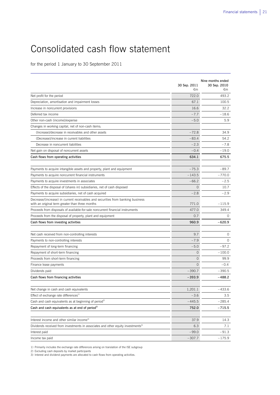# Consolidated cash flow statement

for the period 1 January to 30 September 2011

|                                                                                                                                    | 30 Sep. 2011<br>€m | Nine months ended<br>30 Sep. 2010<br>€m |
|------------------------------------------------------------------------------------------------------------------------------------|--------------------|-----------------------------------------|
| Net profit for the period                                                                                                          | 722.0              | 493.2                                   |
| Depreciation, amortisation and impairment losses                                                                                   | 67.1               | 100.5                                   |
| Increase in noncurrent provisions                                                                                                  | 16.6               | 32.2                                    |
| Deferred tax income                                                                                                                | $-7.7$             | $-18.6$                                 |
| Other non-cash (income)/expense                                                                                                    | $-5.0$             | 5.9                                     |
| Changes in working capital, net of non-cash items:                                                                                 |                    |                                         |
| (Increase)/decrease in receivables and other assets                                                                                | $-72.8$            | 34.9                                    |
| (Decrease)/increase in current liabilities                                                                                         | $-83.4$            | 54.2                                    |
| Decrease in noncurrent liabilities                                                                                                 | $-2.3$             | $-7.8$                                  |
| Net gain on disposal of noncurrent assets                                                                                          | $-0.4$             | $-19.0$                                 |
| Cash flows from operating activities                                                                                               | 634.1              | 675.5                                   |
| Payments to acquire intangible assets and property, plant and equipment                                                            | $-75.3$            | $-89.7$                                 |
| Payments to acquire noncurrent financial instruments                                                                               | $-143.5$           | $-770.0$                                |
| Payments to acquire investments in associates                                                                                      | $-66.2$            | $-2.5$                                  |
| Effects of the disposal of (shares in) subsidiaries, net of cash disposed                                                          | $\mathbf 0$        | 10.7                                    |
| Payments to acquire subsidiaries, net of cash acquired                                                                             | $-2.8$             | $-2.9$                                  |
| Decrease/(increase) in current receivables and securities from banking business<br>with an original term greater than three months | 771.0              | $-115.9$                                |
| Proceeds from disposals of available-for-sale noncurrent financial instruments                                                     | 477.0              | 349.4                                   |
| Proceeds from the disposal of property, plant and equipment                                                                        | 0.7                | $\Omega$                                |
| Cash flows from investing activities                                                                                               | 960.9              | $-620.9$                                |
|                                                                                                                                    |                    |                                         |
| Net cash received from non-controlling interests                                                                                   | 9.7                | $\circ$                                 |
| Payments to non-controlling interests                                                                                              | $-7.9$             | $\circ$                                 |
| Repayment of long-term financing                                                                                                   | $-5.0$             | $-97.2$                                 |
| Repayment of short-term financing                                                                                                  | 0                  | $-100.0$                                |
| Proceeds from short-term financing                                                                                                 | $\overline{O}$     | 99.9                                    |
| Finance lease payments                                                                                                             | $\mathbf 0$        | $-0.4$                                  |
| Dividends paid                                                                                                                     | $-390.7$           | $-390.5$                                |
| Cash flows from financing activities                                                                                               | $-393.9$           | $-488.2$                                |
| Net change in cash and cash equivalents                                                                                            | 1,201.1            | $-433.6$                                |
| Effect of exchange rate differences <sup>1)</sup>                                                                                  | $-3.6$             | 3.5                                     |
| Cash and cash equivalents as at beginning of period <sup>2)</sup>                                                                  | $-445.5$           | $-285.4$                                |
| Cash and cash equivalents as at end of period <sup>2)</sup>                                                                        | 752.0              | $-715.5$                                |
|                                                                                                                                    |                    |                                         |
| Interest income and other similar income <sup>3)</sup>                                                                             | 37.9               | 14.3                                    |
| Dividends received from investments in associates and other equity investments <sup>3)</sup>                                       | 6.3                | 7.1                                     |
| Interest paid                                                                                                                      | $-99.0$            | -91.3                                   |
| Income tax paid                                                                                                                    | $-307.7$           | $-175.9$                                |

1) Primarily includes the exchange rate differences arising on translation of the ISE subgroup

2) Excluding cash deposits by market participants

3) Interest and dividend payments are allocated to cash flows from operating activities.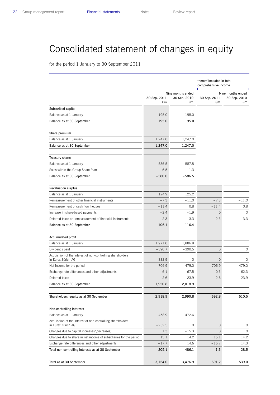# Consolidated statement of changes in equity

for the period 1 January to 30 September 2011

|                                                                                   |                    |                                         | thereof included in total<br>comprehensive income |                                         |  |
|-----------------------------------------------------------------------------------|--------------------|-----------------------------------------|---------------------------------------------------|-----------------------------------------|--|
|                                                                                   | 30 Sep. 2011<br>€m | Nine months ended<br>30 Sep. 2010<br>€m | 30 Sep. 2011<br>€m                                | Nine months ended<br>30 Sep. 2010<br>€m |  |
| Subscribed capital                                                                |                    |                                         |                                                   |                                         |  |
| Balance as at 1 January                                                           | 195.0              | 195.0                                   |                                                   |                                         |  |
| Balance as at 30 September                                                        | 195.0              | 195.0                                   |                                                   |                                         |  |
| Share premium                                                                     |                    |                                         |                                                   |                                         |  |
| Balance as at 1 January                                                           | 1,247.0            | 1,247.0                                 |                                                   |                                         |  |
| Balance as at 30 September                                                        | 1,247.0            | 1,247.0                                 |                                                   |                                         |  |
| Treasury shares                                                                   |                    |                                         |                                                   |                                         |  |
| Balance as at 1 January                                                           | $-586.5$           | $-587.8$                                |                                                   |                                         |  |
| Sales within the Group Share Plan                                                 | 6.5                | 1.3                                     |                                                   |                                         |  |
| Balance as at 30 September                                                        | $-580.0$           | $-586.5$                                |                                                   |                                         |  |
| <b>Revaluation surplus</b>                                                        |                    |                                         |                                                   |                                         |  |
| Balance as at 1 January                                                           | 124.9              | 125.2                                   |                                                   |                                         |  |
| Remeasurement of other financial instruments                                      | $-7.3$             | $-11.0$                                 | $-7.3$                                            | $-11.0$                                 |  |
| Remeasurement of cash flow hedges                                                 | $-11.4$            | 0.8                                     | $-11.4$                                           | 0.8                                     |  |
| Increase in share-based payments                                                  | $-2.4$             | $-1.9$                                  | $\overline{0}$                                    | 0                                       |  |
| Deferred taxes on remeasurement of financial instruments                          | 2.3                | 3.3                                     | 2.3                                               | 3.3                                     |  |
| Balance as at 30 September                                                        | 106.1              | 116.4                                   |                                                   |                                         |  |
| Accumulated profit                                                                |                    |                                         |                                                   |                                         |  |
| Balance as at 1 January                                                           | 1,971.0            | 1,886.8                                 |                                                   |                                         |  |
| Dividends paid                                                                    | $-390.7$           | $-390.5$                                | $\overline{0}$                                    | 0                                       |  |
| Acquisition of the interest of non-controlling shareholders<br>in Eurex Zürich AG | $-332.9$           | 0                                       | $\circ$                                           | 0                                       |  |
| Net income for the period                                                         | 706.9              | 479.0                                   | 706.9                                             | 479.0                                   |  |
| Exchange rate differences and other adjustments                                   | $-6.1$             | 67.5                                    | $-0.3$                                            | 62.3                                    |  |
| Deferred taxes                                                                    | 2.6                | $-23.9$                                 | 2.6                                               | $-23.9$                                 |  |
| Balance as at 30 September                                                        | 1,950.8            | 2,018.9                                 |                                                   |                                         |  |
| Shareholders' equity as at 30 September                                           | 2,918.9            | 2,990.8                                 | 692.8                                             | 510.5                                   |  |
|                                                                                   |                    |                                         |                                                   |                                         |  |
| Non-controlling interests                                                         |                    |                                         |                                                   |                                         |  |
| Balance as at 1 January                                                           | 458.9              | 472.6                                   |                                                   |                                         |  |
| Acquisition of the interest of non-controlling shareholders<br>in Eurex Zürich AG | $-252.5$           | $\circ$                                 | $\circ$                                           | $\circ$                                 |  |
| Changes due to capital increases/(decreases)                                      | 1.3                | $-15.3$                                 | 0                                                 | 0                                       |  |
| Changes due to share in net income of subsidiaries for the period                 | 15.1               | 14.2                                    | 15.1                                              | 14.2                                    |  |
| Exchange rate differences and other adjustments                                   | $-17.7$            | 14.6                                    | $-16.7$                                           | 14.3                                    |  |
| Total non-controlling interests as at 30 September                                | 205.1              | 486.1                                   | $-1.6$                                            | 28.5                                    |  |
| Total as at 30 September                                                          | 3,124.0            | 3,476.9                                 | 691.2                                             | 539.0                                   |  |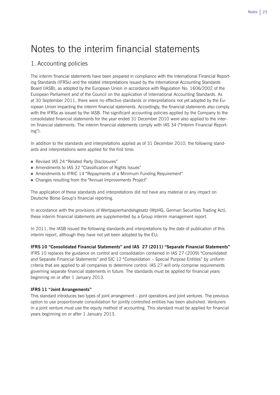## Notes to the interim financial statements

## 1. Accounting policies

The interim financial statements have been prepared in compliance with the International Financial Reporting Standards (IFRSs) and the related interpretations issued by the International Accounting Standards Board (IASB), as adopted by the European Union in accordance with Regulation No. 1606/2002 of the European Parliament and of the Council on the application of International Accounting Standards. As at 30 September 2011, there were no effective standards or interpretations not yet adopted by the European Union impacting the interim financial statements. Accordingly, the financial statements also comply with the IFRSs as issued by the IASB. The significant accounting policies applied by the Company to the consolidated financial statements for the year ended 31 December 2010 were also applied to the interim financial statements. The interim financial statements comply with IAS 34 ("Interim Financial Reporting").

In addition to the standards and interpretations applied as of 31 December 2010, the following standards and interpretations were applied for the first time:

- Revised IAS 24 "Related Party Disclosures"
- Amendments to IAS 32 "Classification of Rights Issues"
- Amendments to IFRIC 14 "Repayments of a Minimum Funding Requirement"
- Changes resulting from the "Annual Improvements Project"

The application of these standards and interpretations did not have any material or any impact on Deutsche Börse Group's financial reporting.

In accordance with the provisions of Wertpapierhandelsgesetz (WpHG, German Securities Trading Act), these interim financial statements are supplemented by a Group interim management report.

In 2011, the IASB issued the following standards and interpretations by the date of publication of this interim report, although they have not yet been adopted by the EU:

### **IFRS 10 "Consolidated Financial Statements" and IAS 27 (2011) "Separate Financial Statements"**

IFRS 10 replaces the guidance on control and consolidation contained in IAS 27 (2009) "Consolidated and Separate Financial Statements" and SIC 12 "Consolidation – Special Purpose Entities" by uniform criteria that are applied to all companies to determine control. IAS 27 will only comprise requirements governing separate financial statements in future. The standards must be applied for financial years beginning on or after 1 January 2013.

### **IFRS 11 "Joint Arrangements"**

This standard introduces two types of joint arrangement – joint operations and joint ventures. The previous option to use proportionate consolidation for jointly controlled entities has been abolished. Venturers in a joint venture must use the equity method of accounting. This standard must be applied for financial years beginning on or after 1 January 2013.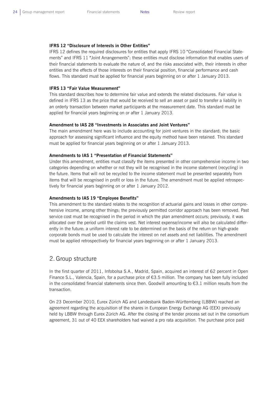#### **IFRS 12 "Disclosure of Interests in Other Entities"**

IFRS 12 defines the required disclosures for entities that apply IFRS 10 "Consolidated Financial Statements" and IFRS 11 "Joint Arrangements": these entities must disclose information that enables users of their financial statements to evaluate the nature of, and the risks associated with, their interests in other entities and the effects of those interests on their financial position, financial performance and cash flows. This standard must be applied for financial years beginning on or after 1 January 2013.

#### **IFRS 13 "Fair Value Measurement"**

This standard describes how to determine fair value and extends the related disclosures. Fair value is defined in IFRS 13 as the price that would be received to sell an asset or paid to transfer a liability in an orderly transaction between market participants at the measurement date. This standard must be applied for financial years beginning on or after 1 January 2013.

#### **Amendment to IAS 28 "Investments in Associates and Joint Ventures"**

The main amendment here was to include accounting for joint ventures in the standard; the basic approach for assessing significant influence and the equity method have been retained. This standard must be applied for financial years beginning on or after 1 January 2013.

#### **Amendments to IAS 1 "Presentation of Financial Statements"**

Under this amendment, entities must classify the items presented in other comprehensive income in two categories depending on whether or not they will be recognised in the income statement (recycling) in the future. Items that will not be recycled to the income statement must be presented separately from items that will be recognised in profit or loss in the future. The amendment must be applied retrospectively for financial years beginning on or after 1 January 2012.

#### **Amendments to IAS 19 "Employee Benefits"**

This amendment to the standard relates to the recognition of actuarial gains and losses in other comprehensive income, among other things; the previously permitted corridor approach has been removed. Past service cost must be recognised in the period in which the plan amendment occurs; previously, it was allocated over the period until the claims vest. Net interest expense/income will also be calculated differently in the future: a uniform interest rate to be determined on the basis of the return on high-grade corporate bonds must be used to calculate the interest on net assets and net liabilities. The amendment must be applied retrospectively for financial years beginning on or after 1 January 2013.

### 2. Group structure

In the first quarter of 2011, Infobolsa S.A., Madrid, Spain, acquired an interest of 62 percent in Open Finance S.L., Valencia, Spain, for a purchase price of  $63.5$  million. The company has been fully included in the consolidated financial statements since then. Goodwill amounting to  $\epsilon$ 3.1 million results from the transaction.

On 23 December 2010, Eurex Zürich AG and Landesbank Baden-Württemberg (LBBW) reached an agreement regarding the acquisition of the shares in European Energy Exchange AG (EEX) previously held by LBBW through Eurex Zürich AG. After the closing of the tender process set out in the consortium agreement, 31 out of 40 EEX shareholders had waived a pro rata acquisition. The purchase price paid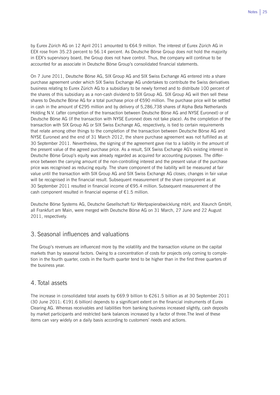by Eurex Zürich AG on 12 April 2011 amounted to €64.9 million. The interest of Eurex Zürich AG in EEX rose from 35.23 percent to 56.14 percent. As Deutsche Börse Group does not hold the majority in EEX's supervisory board, the Group does not have control. Thus, the company will continue to be accounted for as associate in Deutsche Börse Group's consolidated financial statements.

On 7 June 2011, Deutsche Börse AG, SIX Group AG and SIX Swiss Exchange AG entered into a share purchase agreement under which SIX Swiss Exchange AG undertakes to contribute the Swiss derivatives business relating to Eurex Zürich AG to a subsidiary to be newly formed and to distribute 100 percent of the shares of this subsidiary as a non-cash dividend to SIX Group AG. SIX Group AG will then sell these shares to Deutsche Börse AG for a total purchase price of €590 million. The purchase price will be settled in cash in the amount of €295 million and by delivery of 5,286,738 shares of Alpha Beta Netherlands Holding N.V. (after completion of the transaction between Deutsche Börse AG and NYSE Euronext) or of Deutsche Börse AG (if the transaction with NYSE Euronext does not take place). As the completion of the transaction with SIX Group AG or SIX Swiss Exchange AG, respectively, is tied to certain requirements that relate among other things to the completion of the transaction between Deutsche Börse AG and NYSE Euronext and the end of 31 March 2012, the share purchase agreement was not fulfilled as at 30 September 2011. Nevertheless, the signing of the agreement gave rise to a liability in the amount of the present value of the agreed purchase price. As a result, SIX Swiss Exchange AG's existing interest in Deutsche Börse Group's equity was already regarded as acquired for accounting purposes. The difference between the carrying amount of the non-controlling interest and the present value of the purchase price was recognised as reducing equity. The share component of the liability will be measured at fair value until the transaction with SIX Group AG and SIX Swiss Exchange AG closes; changes in fair value will be recognised in the financial result. Subsequent measurement of the share component as at 30 September 2011 resulted in financial income of €95.4 million. Subsequent measurement of the cash component resulted in financial expense of  $E1.5$  million.

Deutsche Börse Systems AG, Deutsche Gesellschaft für Wertpapierabwicklung mbH, and Xlaunch GmbH, all Frankfurt am Main, were merged with Deutsche Börse AG on 31 March, 27 June and 22 August 2011, respectively.

## 3. Seasonal influences and valuations

The Group's revenues are influenced more by the volatility and the transaction volume on the capital markets than by seasonal factors. Owing to a concentration of costs for projects only coming to completion in the fourth quarter, costs in the fourth quarter tend to be higher than in the first three quarters of the business year.

## 4. Total assets

The increase in consolidated total assets by €69.9 billion to €261.5 billion as at 30 September 2011 (30 June 2011:  $E191.6$  billion) depends to a significant extent on the financial instruments of Eurex Clearing AG. Whereas receivables and liabilities from banking business increased slightly, cash deposits by market participants and restricted bank balances increased by a factor of three.The level of these items can vary widely on a daily basis according to customers' needs and actions.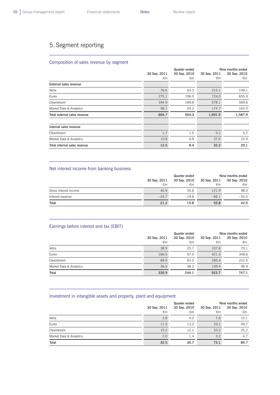L

 $\overline{a}$ 

## 5. Segment reporting

### Composition of sales revenue by segment

|                              |              | Quarter ended | Nine months ended |              |  |
|------------------------------|--------------|---------------|-------------------|--------------|--|
|                              | 30 Sep. 2011 | 30 Sep. 2010  | 30 Sep. 2011      | 30 Sep. 2010 |  |
|                              | €m           | €m            | €m                | €m           |  |
| External sales revenue       |              |               |                   |              |  |
| Xetra                        | 76.6         | 63.3          | 215.1             | 199.1        |  |
| Eurex                        | 275.1        | 196.0         | 724.0             | 655.9        |  |
| Clearstream                  | 194.9        | 189.8         | 578.1             | 569.6        |  |
| Market Data & Analytics      | 58.1         | 55.2          | 174.7             | 163.3        |  |
| Total external sales revenue | 604.7        | 504.3         | 1,691.9           | 1,587.9      |  |
|                              |              |               |                   |              |  |
| Internal sales revenue       |              |               |                   |              |  |
| Clearstream                  | 1.7          | 1.5           | 5.2               | 5.2          |  |
| Market Data & Analytics      | 10.8         | 6.9           | 27.0              | 23.9         |  |
| Total internal sales revenue | 12.5         | 8.4           | 32.2              | 29.1         |  |

### Net interest income from banking business

|                       |              | Quarter ended | Nine months ended |              |  |
|-----------------------|--------------|---------------|-------------------|--------------|--|
|                       | 30 Sep. 2011 | 30 Sep. 2010  | 30 Sep. 2011      | 30 Sep. 2010 |  |
|                       | €m           | €m            | €m                | €m           |  |
| Gross interest income | 45.9         | 35.6          | 121.9             | 98.0         |  |
| Interest expense      | $-24.7$      | $-19.8$       | $-66.1$           | $-55.5$      |  |
| Total                 | 21.2         | 15.8          | 55.8              | 42.5         |  |

### Earnings before interest and tax (EBIT)

|                         |              | Quarter ended | Nine months ended            |       |  |
|-------------------------|--------------|---------------|------------------------------|-------|--|
|                         | 30 Sep. 2011 | 30 Sep. 2010  | 30 Sep. 2011<br>30 Sep. 2010 |       |  |
|                         | €m           | €m            | €m                           | €m    |  |
| Xetra                   | 38.9         | 25.7          | 107.6                        | 79.1  |  |
| Eurex                   | 166.5        | 97.0          | 421.3                        | 348.6 |  |
| Clearstream             | 89.0         | 83.2          | 285.4                        | 222.5 |  |
| Market Data & Analytics | 36.5         | 38.2          | 109.4                        | 96.9  |  |
| Total                   | 330.9        | 244.1         | 923.7                        | 747.1 |  |

#### Investment in intangible assets and property, plant and equipment

|                         |              | Quarter ended | Nine months ended |              |  |
|-------------------------|--------------|---------------|-------------------|--------------|--|
|                         | 30 Sep. 2011 | 30 Sep. 2010  | 30 Sep. 2011      | 30 Sep. 2010 |  |
|                         | €m           | €m            | €m                | €m           |  |
| Xetra                   | 3.8          | 4.0           | 7.6               | 10.1         |  |
| Eurex                   | 11.5         | 13.2          | 29.1              | 49.7         |  |
| Clearstream             | 15.2         | 12.1          | 33.2              | 25.2         |  |
| Market Data & Analytics | 2.0          | 1.4           | 3.2               | 4.7          |  |
| Total                   | 32.5         | 30.7          | 73.1              | 89.7         |  |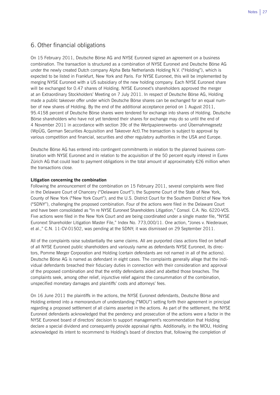## 6. Other financial obligations

On 15 February 2011, Deutsche Börse AG and NYSE Euronext signed an agreement on a business combination. The transaction is structured as a combination of NYSE Euronext and Deutsche Börse AG under the newly created Dutch company Alpha Beta Netherlands Holding N.V. ("Holding"), which is expected to be listed in Frankfurt, New York and Paris. For NYSE Euronext, this will be implemented by merging NYSE Euronext with a US subsidiary of the new holding company. Each NYSE Euronext share will be exchanged for 0.47 shares of Holding. NYSE Euronext's shareholders approved the merger at an Extraordinary Stockholders' Meeting on 7 July 2011. In respect of Deutsche Börse AG, Holding made a public takeover offer under which Deutsche Börse shares can be exchanged for an equal number of new shares of Holding. By the end of the additional acceptance period on 1 August 2011, 95.4158 percent of Deutsche Börse shares were tendered for exchange into shares of Holding. Deutsche Börse shareholders who have not yet tendered their shares for exchange may do so until the end of 4 November 2011 in accordance with section 39c of the Wertpapiererwerbs- und Übernahmegesetz (WpÜG, German Securities Acquisition and Takeover Act).The transaction is subject to approval by various competition and financial, securities and other regulatory authorities in the USA and Europe.

Deutsche Börse AG has entered into contingent commitments in relation to the planned business combination with NYSE Euronext and in relation to the acquisition of the 50 percent equity interest in Eurex Zürich AG that could lead to payment obligations in the total amount of approximately €26 million when the transactions close.

#### **Litigation concerning the combination**

Following the announcement of the combination on 15 February 2011, several complaints were filed in the Delaware Court of Chancery ("Delaware Court"); the Supreme Court of the State of New York, County of New York ("New York Court"); and the U.S. District Court for the Southern District of New York ("SDNY"), challenging the proposed combination. Four of the actions were filed in the Delaware Court and have been consolidated as "In re NYSE Euronext Shareholders Litigation," Consol. C.A. No. 6220-VCS. Five actions were filed in the New York Court and are being coordinated under a single master file, "NYSE Euronext Shareholder Litigation Master File," Index No. 773,000/11. One action, "Jones v. Niederauer, et al.," C.N. 11-CV-01502, was pending at the SDNY; it was dismissed on 29 September 2011.

All of the complaints raise substantially the same claims. All are purported class actions filed on behalf of all NYSE Euronext public shareholders and variously name as defendants NYSE Euronext, its directors, Pomme Merger Corporation and Holding (certain defendants are not named in all of the actions). Deutsche Börse AG is named as defendant in eight cases. The complaints generally allege that the individual defendants breached their fiduciary duties in connection with their consideration and approval of the proposed combination and that the entity defendants aided and abetted those breaches. The complaints seek, among other relief, injunctive relief against the consummation of the combination, unspecified monetary damages and plaintiffs' costs and attorneys' fees.

On 16 June 2011 the plaintiffs in the actions, the NYSE Euronext defendants, Deutsche Börse and Holding entered into a memorandum of understanding ("MOU") setting forth their agreement in principal regarding a proposed settlement of all claims asserted in the actions. As part of the settlement, the NYSE Euronext defendants acknowledged that the pendency and prosecution of the actions were a factor in the NYSE Euronext board of directors' decision to support management's recommendation that Holding declare a special dividend and consequently provide appraisal rights. Additionally, in the MOU, Holding acknowledged its intent to recommend to Holding's board of directors that, following the completion of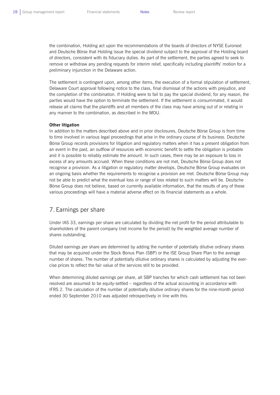the combination, Holding act upon the recommendations of the boards of directors of NYSE Euronext and Deutsche Börse that Holding issue the special dividend subject to the approval of the Holding board of directors, consistent with its fiduciary duties. As part of the settlement, the parties agreed to seek to remove or withdraw any pending requests for interim relief, specifically including plaintiffs' motion for a preliminary injunction in the Delaware action.

The settlement is contingent upon, among other items, the execution of a formal stipulation of settlement, Delaware Court approval following notice to the class, final dismissal of the actions with prejudice, and the completion of the combination. If Holding were to fail to pay the special dividend, for any reason, the parties would have the option to terminate the settlement. If the settlement is consummated, it would release all claims that the plaintiffs and all members of the class may have arising out of or relating in any manner to the combination, as described in the MOU.

#### **Other litigation**

In addition to the matters described above and in prior disclosures, Deutsche Börse Group is from time to time involved in various legal proceedings that arise in the ordinary course of its business. Deutsche Börse Group records provisions for litigation and regulatory matters when it has a present obligation from an event in the past, an outflow of resources with economic benefit to settle the obligation is probable and it is possible to reliably estimate the amount. In such cases, there may be an exposure to loss in excess of any amounts accrued. When these conditions are not met, Deutsche Börse Group does not recognise a provision. As a litigation or regulatory matter develops, Deutsche Börse Group evaluates on an ongoing basis whether the requirements to recognise a provision are met. Deutsche Börse Group may not be able to predict what the eventual loss or range of loss related to such matters will be. Deutsche Börse Group does not believe, based on currently available information, that the results of any of these various proceedings will have a material adverse effect on its financial statements as a whole.

## 7. Earnings per share

Under IAS 33, earnings per share are calculated by dividing the net profit for the period attributable to shareholders of the parent company (net income for the period) by the weighted average number of shares outstanding.

Diluted earnings per share are determined by adding the number of potentially dilutive ordinary shares that may be acquired under the Stock Bonus Plan (SBP) or the ISE Group Share Plan to the average number of shares. The number of potentially dilutive ordinary shares is calculated by adjusting the exercise prices to reflect the fair value of the services still to be provided.

When determining diluted earnings per share, all SBP tranches for which cash settlement has not been resolved are assumed to be equity-settled – regardless of the actual accounting in accordance with IFRS 2. The calculation of the number of potentially dilutive ordinary shares for the nine-month period ended 30 September 2010 was adjusted retrospectively in line with this.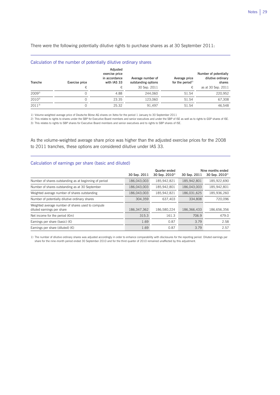There were the following potentially dilutive rights to purchase shares as at 30 September 2011:

| Calculation of the number of potentially dilutive ordinary shares |  |  |  |  |
|-------------------------------------------------------------------|--|--|--|--|
|-------------------------------------------------------------------|--|--|--|--|

L

 $\overline{a}$ 

| Tranche    | Exercise price | Adjusted<br>exercise price<br>in accordance<br>with IAS 33 | Average number of<br>outstanding options | Average price<br>for the period $1$ | Number of potentially<br>dilutive ordinary<br>shares |
|------------|----------------|------------------------------------------------------------|------------------------------------------|-------------------------------------|------------------------------------------------------|
|            | €              | €                                                          | 30 Sep. 2011                             | €                                   | as at 30 Sep. 2011                                   |
| $2009^{2}$ |                | 4.88                                                       | 244.060                                  | 51.54                               | 220.952                                              |
| $2010^{3}$ |                | 23.35                                                      | 123.060                                  | 51.54                               | 67,308                                               |
| $2011^{3}$ |                | 25.32                                                      | 91,497                                   | 51.54                               | 46.548                                               |

1) Volume-weighted average price of Deutsche Börse AG shares on Xetra for the period 1 January to 30 September 2011

2) This relates to rights to shares under the SBP for Executive Board members and senior executives and under the SBP of ISE as well as to rights to GSP shares of ISE. 3) This relates to rights to SBP shares for Executive Board members and senior executives and to rights to SBP shares of ISE.

As the volume-weighted average share price was higher than the adjusted exercise prices for the 2008 to 2011 tranches, these options are considered dilutive under IAS 33.

#### Calculation of earnings per share (basic and diluted)

|                                                                                 | 30 Sep. 2011 | Quarter ended<br>30 Sep. 2010 <sup>1)</sup> | 30 Sep. 2011 | Nine months ended<br>30 Sep. 2010 <sup>1)</sup> |
|---------------------------------------------------------------------------------|--------------|---------------------------------------------|--------------|-------------------------------------------------|
| Number of shares outstanding as at beginning of period                          | 186.043.003  | 185.942.821                                 | 185.942.801  | 185,922,690                                     |
| Number of shares outstanding as at 30 September                                 | 186,043,003  | 185.942.801                                 | 186.043.003  | 185.942.801                                     |
| Weighted average number of shares outstanding                                   | 186,043,003  | 185,942,821                                 | 186,031,625  | 185,936,260                                     |
| Number of potentially dilutive ordinary shares                                  | 304.359      | 637,403                                     | 334,808      | 720.096                                         |
| Weighted average number of shares used to compute<br>diluted earnings per share | 186.347.362  | 186.580.224                                 | 186.366.433  | 186.656.356                                     |
| Net income for the period $(\epsilon m)$                                        | 315.3        | 161.3                                       | 706.9        | 479.0                                           |
| Earnings per share (basic) $(E)$                                                | 1.69         | 0.87                                        | 3.79         | 2.58                                            |
| Earnings per share (diluted) $(\epsilon)$                                       | 1.69         | 0.87                                        | 3.79         | 2.57                                            |

1) The number of dilutive ordinary shares was adjusted accordingly in order to enhance comparability with disclosures for the reporting period. Diluted earnings per share for the nine-month period ended 30 September 2010 and for the third quarter of 2010 remained unaffected by this adjustment.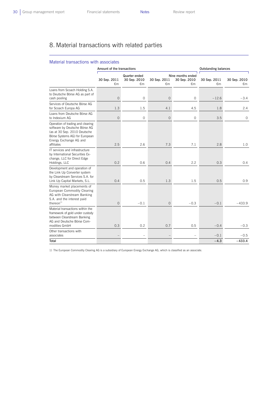L

## 8. Material transactions with related parties

#### Material transactions with associates

|                                                                                                                                                                              | Amount of the transactions |                                     | <b>Outstanding balances</b> |                                         |                    |                    |
|------------------------------------------------------------------------------------------------------------------------------------------------------------------------------|----------------------------|-------------------------------------|-----------------------------|-----------------------------------------|--------------------|--------------------|
|                                                                                                                                                                              | 30 Sep. 2011<br>€m         | Quarter ended<br>30 Sep. 2010<br>€m | 30 Sep. 2011<br>€m          | Nine months ended<br>30 Sep. 2010<br>€m | 30 Sep. 2011<br>€m | 30 Sep. 2010<br>€m |
| Loans from Scoach Holding S.A.<br>to Deutsche Börse AG as part of<br>cash pooling                                                                                            | $\overline{O}$             | $\circ$                             | $\overline{O}$              | $\circ$                                 | $-12.6$            | $-3.4$             |
| Services of Deutsche Börse AG<br>for Scoach Europa AG                                                                                                                        | 1.3                        | 1.5                                 | 4.1                         | 4.5                                     | 1.8                | 2.4                |
| Loans from Deutsche Börse AG<br>to Indexium AG                                                                                                                               | 0                          | 0                                   | $\overline{O}$              | $\circ$                                 | 3.5                | $\circ$            |
| Operation of trading and clearing<br>software by Deutsche Börse AG<br>(as at 30 Sep. 2010 Deutsche<br>Börse Systems AG) for European<br>Energy Exchange AG and<br>affiliates | 2.5                        | 2.6                                 | 7.3                         | 7.1                                     | 2.8                | 1.0                |
| IT services and infrastructure<br>by International Securities Ex-<br>change, LLC for Direct Edge<br>Holdings, LLC                                                            | 0.2                        | 0.6                                 | 0.4                         | 2.2                                     | 0.3                | 0.4                |
| Development and operation of<br>the Link Up Converter system<br>by Clearstream Services S.A. for<br>Link Up Capital Markets, S.L.                                            | 0.4                        | 0.5                                 | 1.3                         | 1.5                                     | 0.5                | 0.9                |
| Money market placements of<br>European Commodity Clearing<br>AG with Clearstream Banking<br>S.A. and the interest paid<br>thereon $1$                                        | $\Omega$                   | $-0.1$                              | $\overline{O}$              | $-0.3$                                  | $-0.1$             | $-433.9$           |
| Material transactions within the<br>framework of gold under custody<br>between Clearstream Banking<br>AG and Deutsche Börse Com-<br>modities GmbH                            | 0.3                        | 0.2                                 | 0.7                         | 0.5                                     | $-0.4$             | $-0.3$             |
| Other transactions with<br>associates                                                                                                                                        |                            |                                     |                             | $\overline{\phantom{0}}$                | $-0.1$             | $-0.5$             |
| Total                                                                                                                                                                        |                            |                                     |                             |                                         | $-4.3$             | $-433.4$           |

1) The European Commodity Clearing AG is a subsidiary of European Energy Exchange AG, which is classified as an associate.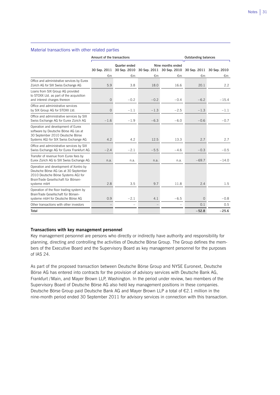#### Material transactions with other related parties

 $\overline{a}$ 

|                                                                                                                                                                              | Amount of the transactions |                                                                                 |        |                          | <b>Outstanding balances</b> |         |  |
|------------------------------------------------------------------------------------------------------------------------------------------------------------------------------|----------------------------|---------------------------------------------------------------------------------|--------|--------------------------|-----------------------------|---------|--|
|                                                                                                                                                                              | 30 Sep. 2011               | Nine months ended<br>Quarter ended<br>30 Sep. 2010<br>30 Sep. 2011 30 Sep. 2010 |        |                          | 30 Sep. 2011 30 Sep. 2010   |         |  |
|                                                                                                                                                                              | €m                         | €m                                                                              | €m     | €m                       | €m                          | €m      |  |
| Office and administrative services by Eurex<br>Zürich AG for SIX Swiss Exchange AG                                                                                           | 5.9                        | 3.8                                                                             | 18.0   | 16.6                     | 20.1                        | 2.2     |  |
| Loans from SIX Group AG provided<br>to STOXX Ltd. as part of the acquisition<br>and interest charges thereon                                                                 | $\mathbf{O}$               | $-0.2$                                                                          | $-0.2$ | $-0.4$                   | $-6.2$                      | $-15.4$ |  |
| Office and administrative services<br>by SIX Group AG for STOXX Ltd.                                                                                                         | $\overline{0}$             | $-1.1$                                                                          | $-1.3$ | $-2.5$                   | $-1.3$                      | $-1.1$  |  |
| Office and administrative services by SIX<br>Swiss Exchange AG for Eurex Zürich AG                                                                                           | $-1.6$                     | $-1.9$                                                                          | $-6.3$ | $-6.0$                   | $-0.6$                      | $-0.7$  |  |
| Operation and development of Eurex<br>software by Deutsche Börse AG (as at<br>30 September 2010 Deutsche Börse<br>Systems AG) for SIX Swiss Exchange AG                      | 4.2                        | 4.2                                                                             | 12.5   | 13.3                     | 2.7                         | 2.7     |  |
| Office and administrative services by SIX<br>Swiss Exchange AG for Eurex Frankfurt AG                                                                                        | $-2.4$                     | $-2.1$                                                                          | $-5.5$ | $-4.6$                   | $-0.3$                      | $-0.5$  |  |
| Transfer of revenue from Eurex fees by<br>Eurex Zürich AG to SIX Swiss Exchange AG                                                                                           | n.a.                       | n.a.                                                                            | n.a.   | n.a.                     | $-69.7$                     | $-14.0$ |  |
| Operation and development of Xontro by<br>Deutsche Börse AG (as at 30 September<br>2010 Deutsche Börse Systems AG) for<br>BrainTrade Gesellschaft für Börsen-<br>systeme mbH | 2.8                        | 3.5                                                                             | 9.7    | 11.8                     | 2.4                         | 1.5     |  |
| Operation of the floor trading system by<br>BrainTrade Gesellschaft für Börsen-<br>systeme mbH for Deutsche Börse AG                                                         | 0.9                        | $-2.1$                                                                          | 4.1    | $-6.5$                   | $\Omega$                    | $-0.8$  |  |
| Other transactions with other investors                                                                                                                                      | $\overline{\phantom{m}}$   | $\overline{\phantom{0}}$                                                        |        | $\overline{\phantom{m}}$ | 0.1                         | 0.5     |  |
| Total                                                                                                                                                                        |                            |                                                                                 |        |                          | $-52.8$                     | $-25.6$ |  |
|                                                                                                                                                                              |                            |                                                                                 |        |                          |                             |         |  |

#### **Transactions with key management personnel**

Key management personnel are persons who directly or indirectly have authority and responsibility for planning, directing and controlling the activities of Deutsche Börse Group. The Group defines the members of the Executive Board and the Supervisory Board as key management personnel for the purposes of IAS 24.

As part of the proposed transaction between Deutsche Börse Group and NYSE Euronext, Deutsche Börse AG has entered into contracts for the provision of advisory services with Deutsche Bank AG, Frankfurt /Main, and Mayer Brown LLP, Washington. In the period under review, two members of the Supervisory Board of Deutsche Börse AG also held key management positions in these companies. Deutsche Börse Group paid Deutsche Bank AG and Mayer Brown LLP a total of €2.1 million in the nine-month period ended 30 September 2011 for advisory services in connection with this transaction.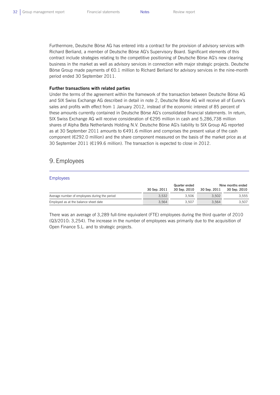Furthermore, Deutsche Börse AG has entered into a contract for the provision of advisory services with Richard Berliand, a member of Deutsche Börse AG's Supervisory Board. Significant elements of this contract include strategies relating to the competitive positioning of Deutsche Börse AG's new clearing business in the market as well as advisory services in connection with major strategic projects. Deutsche Börse Group made payments of €0.1 million to Richard Berliand for advisory services in the nine-month period ended 30 September 2011.

#### **Further transactions with related parties**

Under the terms of the agreement within the framework of the transaction between Deutsche Börse AG and SIX Swiss Exchange AG described in detail in note 2, Deutsche Börse AG will receive all of Eurex's sales and profits with effect from 1 January 2012, instead of the economic interest of 85 percent of these amounts currently contained in Deutsche Börse AG's consolidated financial statements. In return, SIX Swiss Exchange AG will receive consideration of €295 million in cash and 5,286,738 million shares of Alpha Beta Netherlands Holding N.V. Deutsche Börse AG's liability to SIX Group AG reported as at 30 September 2011 amounts to €491.6 million and comprises the present value of the cash component (€292.0 million) and the share component measured on the basis of the market price as at 30 September 2011 (€199.6 million). The transaction is expected to close in 2012.

## 9. Employees

#### Employees

|                                               | Quarter ended |              | Nine months ended |              |  |
|-----------------------------------------------|---------------|--------------|-------------------|--------------|--|
|                                               | 30 Sep. 2011  | 30 Sep. 2010 | 30 Sep. 2011      | 30 Sep. 2010 |  |
| Average number of employees during the period | 3.532         | 3.506        | 3.502             | 3.555        |  |
| Employed as at the balance sheet date         | 3.564         | 3.507        | 3.564             | 3.507        |  |

There was an average of 3,289 full-time equivalent (FTE) employees during the third quarter of 2010 (Q3/2010: 3,254). The increase in the number of employees was primarily due to the acquisition of Open Finance S.L. and to strategic projects.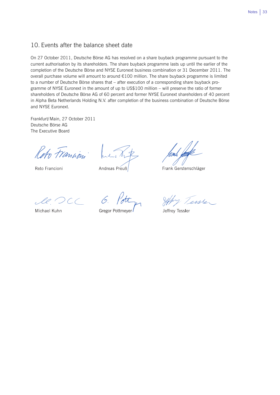## 10. Events after the balance sheet date

On 27 October 2011, Deutsche Börse AG has resolved on a share buyback programme pursuant to the current authorisation by its shareholders. The share buyback programme lasts up until the earlier of the completion of the Deutsche Börse and NYSE Euronext business combination or 31 December 2011. The overall purchase volume will amount to around €100 million. The share buyback programme is limited to a number of Deutsche Börse shares that – after execution of a corresponding share buyback programme of NYSE Euronext in the amount of up to US\$100 million – will preserve the ratio of former shareholders of Deutsche Börse AG of 60 percent and former NYSE Euronext shareholders of 40 percent in Alpha Beta Netherlands Holding N.V. after completion of the business combination of Deutsche Börse and NYSE Euronext.

Frankfurt/Main, 27 October 2011 Deutsche Börse AG The Executive Board

Reto Francion

Reto Francioni

Andreas Preuß

Frank Gerstenschläger

le C  ${}^{>}CC$ 

Michael Kuhn

Gregor Pottmeyer

Tessler

Jeffrev Tessler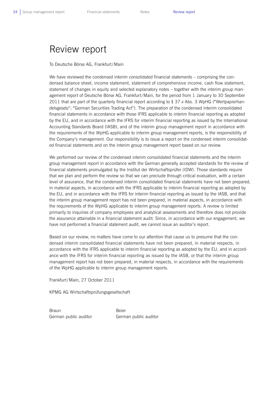## Review report

To Deutsche Börse AG, Frankfurt/Main

We have reviewed the condensed interim consolidated financial statements – comprising the condensed balance sheet, income statement, statement of comprehensive income, cash flow statement, statement of changes in equity and selected explanatory notes – together with the interim group management report of Deutsche Börse AG, Frankfurt/Main, for the period from 1 January to 30 September 2011 that are part of the quarterly financial report according to § 37 x Abs. 3 WpHG ("Wertpapierhandelsgesetz": "German Securities Trading Act"). The preparation of the condensed interim consolidated financial statements in accordance with those IFRS applicable to interim financial reporting as adopted by the EU, and in accordance with the IFRS for interim financial reporting as issued by the International Accounting Standards Board (IASB), and of the interim group management report in accordance with the requirements of the WpHG applicable to interim group management reports, is the responsibility of the Company's management. Our responsibility is to issue a report on the condensed interim consolidated financial statements and on the interim group management report based on our review.

We performed our review of the condensed interim consolidated financial statements and the interim group management report in accordance with the German generally accepted standards for the review of financial statements promulgated by the Institut der Wirtschaftsprüfer (IDW). Those standards require that we plan and perform the review so that we can preclude through critical evaluation, with a certain level of assurance, that the condensed interim consolidated financial statements have not been prepared, in material aspects, in accordance with the IFRS applicable to interim financial reporting as adopted by the EU, and in accordance with the IFRS for interim financial reporting as issued by the IASB, and that the interim group management report has not been prepared, in material aspects, in accordance with the requirements of the WpHG applicable to interim group management reports. A review is limited primarily to inquiries of company employees and analytical assessments and therefore does not provide the assurance attainable in a financial statement audit. Since, in accordance with our engagement, we have not performed a financial statement audit, we cannot issue an auditor's report.

Based on our review, no matters have come to our attention that cause us to presume that the condensed interim consolidated financial statements have not been prepared, in material respects, in accordance with the IFRS applicable to interim financial reporting as adopted by the EU, and in accordance with the IFRS for interim financial reporting as issued by the IASB, or that the interim group management report has not been prepared, in material respects, in accordance with the requirements of the WpHG applicable to interim group management reports.

Frankfurt/Main, 27 October 2011

KPMG AG Wirtschaftsprüfungsgesellschaft

Braun **Beier** German public auditor German public auditor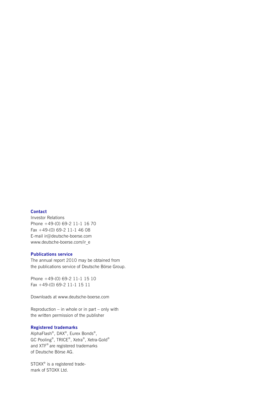#### **Contact**

Investor Relations Phone +49-(0) 69-2 11-1 16 70 Fax +49-(0) 69-2 11-1 46 08 E-mail ir@deutsche-boerse.com www.deutsche-boerse.com/ir\_e

#### **Publications service**

The annual report 2010 may be obtained from the publications service of Deutsche Börse Group.

Phone +49-(0) 69-2 11-1 15 10 Fax +49-(0) 69-2 11-1 15 11

Downloads at www.deutsche-boerse.com

Reproduction – in whole or in part – only with the written permission of the publisher

#### **Registered trademarks**

AlphaFlash®, DAX®, Eurex Bonds®, GC Pooling®, TRICE®, Xetra®, Xetra-Gold® and XTF® are registered trademarks of Deutsche Börse AG.

STOXX<sup>®</sup> is a registered trademark of STOXX Ltd.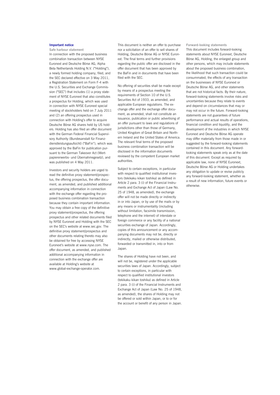#### **Important notice**

**Safe harbour statement** 

In connection with the proposed business combination transaction between NYSE Euronext and Deutsche Börse AG, Alpha Beta Netherlands Holding N.V. ("Holding"), a newly formed holding company, filed, and the SEC declared effective on 3 May 2011, a Registration Statement on Form F-4 with the U.S. Securities and Exchange Commission ("SEC") that includes (1) a proxy statement of NYSE Euronext that also constitutes a prospectus for Holding, which was used in connection with NYSE Euronext special meeting of stockholders held on 7 July 2011 and (2) an offering prospectus used in connection with Holding's offer to acquire Deutsche Börse AG shares held by US holders. Holding has also filed an offer document with the German Federal Financial Supervisory Authority (Bundesanstalt für Finanzdienstleistungsaufsicht) ("BaFin"), which was approved by the BaFin for publication pursuant to the German Takeover Act (Wertpapiererwerbs- und Übernahmegesetz), and was published on 4 May 2011.

Investors and security holders are urged to read the definitive proxy statement/prospectus, the offering prospectus, the offer document, as amended, and published additional accompanying information in connection with the exchange offer regarding the proposed business combination transaction because they contain important information. You may obtain a free copy of the definitive proxy statement/prospectus, the offering prospectus and other related documents filed by NYSE Euronext and Holding with the SEC on the SEC's website at www.sec.gov. The definitive proxy statement/prospectus and other documents relating thereto may also be obtained for free by accessing NYSE Euronext's website at www.nyse.com. The offer document, as amended, and published additional accompanying information in connection with the exchange offer are available at Holding's website at www.global-exchange-operator.com.

This document is neither an offer to purchase nor a solicitation of an offer to sell shares of Holding, Deutsche Börse AG or NYSE Euronext. The final terms and further provisions regarding the public offer are disclosed in the offer document that has been approved by the BaFin and in documents that have been filed with the SEC.

No offering of securities shall be made except by means of a prospectus meeting the requirements of Section 10 of the U.S. Securities Act of 1933, as amended, and applicable European regulations. The exchange offer and the exchange offer document, as amended, shall not constitute an issuance, publication or public advertising of an offer pursuant to laws and regulations of jurisdictions other than those of Germany, United Kingdom of Great Britain and Northern Ireland and the United States of America. The relevant final terms of the proposed business combination transaction will be disclosed in the information documents reviewed by the competent European market authorities.

Subject to certain exceptions, in particular with respect to qualified institutional investors (tekikaku kikan toshika) as defined in Article 2 para. 3 (i) of the Financial Instruments and Exchange Act of Japan (Law No. 25 of 1948, as amended), the exchange offer will not be made directly or indirectly in or into Japan, or by use of the mails or by any means or instrumentality (including without limitation, facsimile transmission, telephone and the internet) of interstate or foreign commerce or any facility of a national securities exchange of Japan. Accordingly, copies of this announcement or any accompanying documents may not be, directly or indirectly, mailed or otherwise distributed, forwarded or transmitted in, into or from Japan.

The shares of Holding have not been, and will not be, registered under the applicable securities laws of Japan. Accordingly, subject to certain exceptions, in particular with respect to qualified institutional investors (tekikaku kikan toshika) as defined in Article 2 para. 3 (i) of the Financial Instruments and Exchange Act of Japan (Law No. 25 of 1948, as amended), the shares of Holding may not be offered or sold within Japan, or to or for the account or benefit of any person in Japan. **Forward-looking statements**  This document includes forward-looking statements about NYSE Euronext, Deutsche Börse AG, Holding, the enlarged group and other persons, which may include statements about the proposed business combination, the likelihood that such transaction could be consummated, the effects of any transaction on the businesses of NYSE Euronext or Deutsche Börse AG, and other statements that are not historical facts. By their nature, forward-looking statements involve risks and uncertainties because they relate to events and depend on circumstances that may or may not occur in the future. Forward-looking statements are not guarantees of future performance and actual results of operations, financial condition and liquidity, and the development of the industries in which NYSE Euronext and Deutsche Börse AG operate may differ materially from those made in or suggested by the forward-looking statements contained in this document. Any forwardlooking statements speak only as at the date of this document. Except as required by applicable law, none of NYSE Euronext, Deutsche Börse AG or Holding undertakes any obligation to update or revise publicly any forward-looking statement, whether as a result of new information, future events or otherwise.